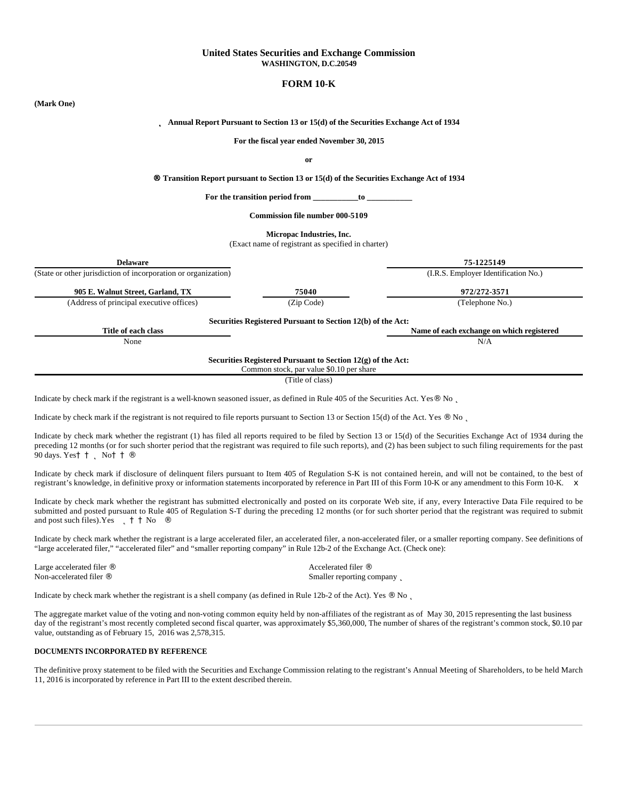# **United States Securities and Exchange Commission WASHINGTON, D.C.20549**

# **FORM 10-K**

# **(Mark One)** þ **Annual Report Pursuant to Section 13 or 15(d) of the Securities Exchange Act of 1934 For the fiscal year ended November 30, 2015 or** Â **Transition Report pursuant to Section 13 or 15(d) of the Securities Exchange Act of 1934** For the transition period from \_\_\_\_\_\_\_\_\_\_\_to **Commission file number 000-5109 Micropac Industries, Inc.** (Exact name of registrant as specified in charter) **Delaware 75-1225149** (State or other jurisdiction of incorporation or organization) (I.R.S. Employer Identification No.) **905 E. Walnut Street, Garland, TX 75040 972/272-3571** (Address of principal executive offices) (Zip Code) (Telephone No.) **Securities Registered Pursuant to Section 12(b) of the Act: Title of each class Name of each exchange on which registered** None N/A **Securities Registered Pursuant to Section 12(g) of the Act:** Common stock, par value \$0.10 per share (Title of class)

Indicate by check mark if the registrant is a well-known seasoned issuer, as defined in Rule 405 of the Securities Act. Yes<sup>\*</sup> No  $\Box$ 

Indicate by check mark if the registrant is not required to file reports pursuant to Section 13 or Section 15(d) of the Act. Yes <sup>"</sup> No  $\Box$ 

Indicate by check mark whether the registrant (1) has filed all reports required to be filed by Section 13 or 15(d) of the Securities Exchange Act of 1934 during the preceding 12 months (or for such shorter period that the registrant was required to file such reports), and (2) has been subject to such filing requirements for the past 90 days. Yes  $\vert$  b No

Indicate by check mark if disclosure of delinquent filers pursuant to Item 405 of Regulation S-K is not contained herein, and will not be contained, to the best of registrant's knowledge, in definitive proxy or information statements incorporated by reference in Part III of this Form 10-K or any amendment to this Form 10-K.  $\times$ 

Indicate by check mark whether the registrant has submitted electronically and posted on its corporate Web site, if any, every Interactive Data File required to be submitted and posted pursuant to Rule 405 of Regulation S-T during the preceding 12 months (or for such shorter period that the registrant was required to submit and post such files). Yes  $\vert$   $\vert$   $\vert$  No  $\vert$ 

Indicate by check mark whether the registrant is a large accelerated filer, an accelerated filer, a non-accelerated filer, or a smaller reporting company. See definitions of "large accelerated filer," "accelerated filer" and "smaller reporting company" in Rule 12b-2 of the Exchange Act. (Check one):

Smaller reporting company  $\vert$ 

Large accelerated filer  $\blacksquare$ <br>
Non-accelerated filer  $\blacksquare$ <br>
Non-accelerated filer  $\blacksquare$ 

Indicate by check mark whether the registrant is a shell company (as defined in Rule 12b-2 of the Act). Yes  $\degree$  No  $\Box$ 

The aggregate market value of the voting and non-voting common equity held by non-affiliates of the registrant as of May 30, 2015 representing the last business day of the registrant's most recently completed second fiscal quarter, was approximately \$5,360,000, The number of shares of the registrant's common stock, \$0.10 par value, outstanding as of February 15, 2016 was 2,578,315.

# **DOCUMENTS INCORPORATED BY REFERENCE**

The definitive proxy statement to be filed with the Securities and Exchange Commission relating to the registrant's Annual Meeting of Shareholders, to be held March 11, 2016 is incorporated by reference in Part III to the extent described therein.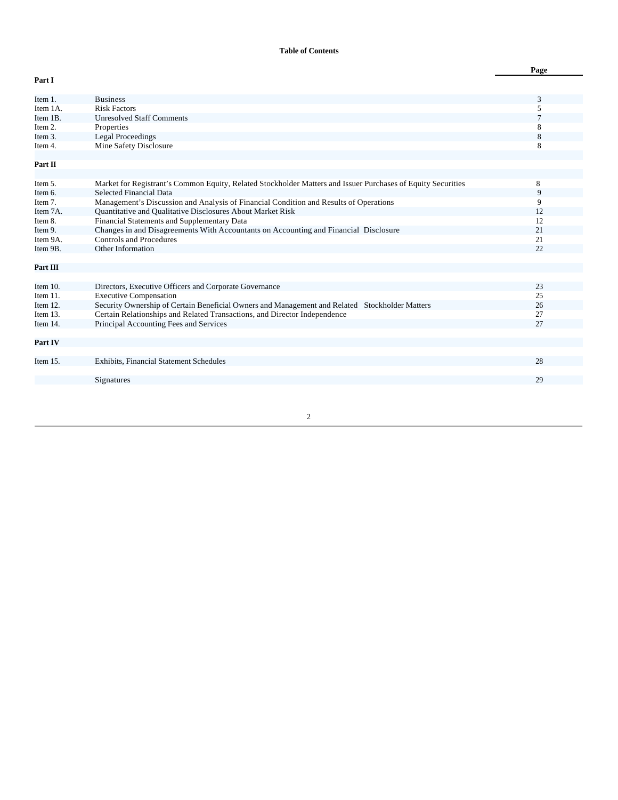# **Table of Contents**

|                      |                                                                                                                 | Page     |
|----------------------|-----------------------------------------------------------------------------------------------------------------|----------|
| Part I               |                                                                                                                 |          |
| Item 1.              | <b>Business</b>                                                                                                 | 3        |
| Item 1A.             | <b>Risk Factors</b>                                                                                             | 5        |
| Item 1B.             | <b>Unresolved Staff Comments</b>                                                                                |          |
| Item 2.              | Properties                                                                                                      | 8        |
| Item 3.              | <b>Legal Proceedings</b>                                                                                        | 8        |
| Item 4.              | Mine Safety Disclosure                                                                                          | 8        |
|                      |                                                                                                                 |          |
| Part II              |                                                                                                                 |          |
|                      |                                                                                                                 |          |
| Item 5.              | Market for Registrant's Common Equity, Related Stockholder Matters and Issuer Purchases of Equity Securities    | 8        |
| Item 6.              | Selected Financial Data                                                                                         | 9        |
| Item 7.              | Management's Discussion and Analysis of Financial Condition and Results of Operations                           | 9        |
| Item 7A.             | <b>Ouantitative and Oualitative Disclosures About Market Risk</b>                                               | 12       |
| Item 8.              | Financial Statements and Supplementary Data                                                                     | 12       |
| Item 9.              | Changes in and Disagreements With Accountants on Accounting and Financial Disclosure<br>Controls and Procedures | 21       |
| Item 9A.<br>Item 9B. | Other Information                                                                                               | 21<br>22 |
|                      |                                                                                                                 |          |
| Part III             |                                                                                                                 |          |
|                      |                                                                                                                 |          |
| Item $10$ .          | Directors, Executive Officers and Corporate Governance                                                          | 23       |
| Item $11$ .          | <b>Executive Compensation</b>                                                                                   | 25       |
| Item $12$ .          | Security Ownership of Certain Beneficial Owners and Management and Related Stockholder Matters                  | 26       |
| Item $13$ .          | Certain Relationships and Related Transactions, and Director Independence                                       | 27       |
| Item 14.             | Principal Accounting Fees and Services                                                                          | 27       |
|                      |                                                                                                                 |          |
| Part IV              |                                                                                                                 |          |
|                      |                                                                                                                 |          |
| Item $15$ .          | <b>Exhibits, Financial Statement Schedules</b>                                                                  | 28       |
|                      |                                                                                                                 |          |
|                      | Signatures                                                                                                      | 29       |
|                      |                                                                                                                 |          |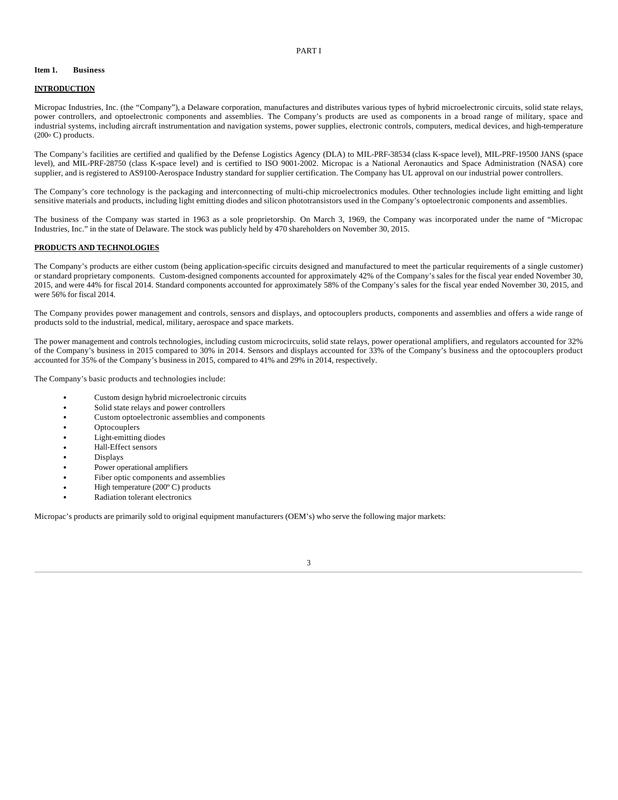### PART I

#### **Item 1. Business**

### **INTRODUCTION**

Micropac Industries, Inc. (the "Company"), a Delaware corporation, manufactures and distributes various types of hybrid microelectronic circuits, solid state relays, power controllers, and optoelectronic components and assemblies. The Company's products are used as components in a broad range of military, space and industrial systems, including aircraft instrumentation and navigation systems, power supplies, electronic controls, computers, medical devices, and high-temperature  $(200\textdegree C)$  products.

The Company's facilities are certified and qualified by the Defense Logistics Agency (DLA) to MIL-PRF-38534 (class K-space level), MIL-PRF-19500 JANS (space level), and MIL-PRF-28750 (class K-space level) and is certified to ISO 9001-2002. Micropac is a National Aeronautics and Space Administration (NASA) core supplier, and is registered to AS9100-Aerospace Industry standard for supplier certification. The Company has UL approval on our industrial power controllers.

The Company's core technology is the packaging and interconnecting of multi-chip microelectronics modules. Other technologies include light emitting and light sensitive materials and products, including light emitting diodes and silicon phototransistors used in the Company's optoelectronic components and assemblies.

The business of the Company was started in 1963 as a sole proprietorship. On March 3, 1969, the Company was incorporated under the name of "Micropac Industries, Inc." in the state of Delaware. The stock was publicly held by 470 shareholders on November 30, 2015.

### **PRODUCTS AND TECHNOLOGIES**

The Company's products are either custom (being application-specific circuits designed and manufactured to meet the particular requirements of a single customer) or standard proprietary components. Custom-designed components accounted for approximately 42% of the Company's sales for the fiscal year ended November 30, 2015, and were 44% for fiscal 2014. Standard components accounted for approximately 58% of the Company's sales for the fiscal year ended November 30, 2015, and were 56% for fiscal 2014.

The Company provides power management and controls, sensors and displays, and optocouplers products, components and assemblies and offers a wide range of products sold to the industrial, medical, military, aerospace and space markets.

The power management and controls technologies, including custom microcircuits, solid state relays, power operational amplifiers, and regulators accounted for 32% of the Company's business in 2015 compared to 30% in 2014. Sensors and displays accounted for 33% of the Company's business and the optocouplers product accounted for 35% of the Company's business in 2015, compared to 41% and 29% in 2014, respectively.

The Company's basic products and technologies include:

 Custom design hybrid microelectronic circuits Solid state relays and power controllers Custom optoelectronic assemblies and components **Optocouplers**  Light-emitting diodes Hall-Effect sensors Displays Power operational amplifiers Fiber optic components and assemblies High temperature (200º C) products Radiation tolerant electronics

Micropac's products are primarily sold to original equipment manufacturers (OEM's) who serve the following major markets:

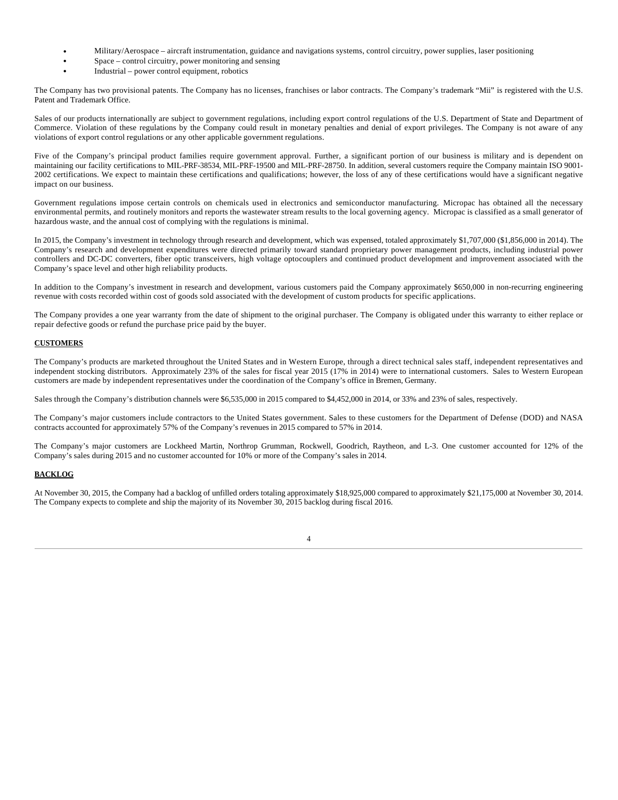Military/Aerospace – aircraft instrumentation, guidance and navigations systems, control circuitry, power supplies, laser positioning Space – control circuitry, power monitoring and sensing Industrial – power control equipment, robotics

The Company has two provisional patents. The Company has no licenses, franchises or labor contracts. The Company's trademark "Mii" is registered with the U.S. Patent and Trademark Office.

Sales of our products internationally are subject to government regulations, including export control regulations of the U.S. Department of State and Department of Commerce. Violation of these regulations by the Company could result in monetary penalties and denial of export privileges. The Company is not aware of any violations of export control regulations or any other applicable government regulations.

Five of the Company's principal product families require government approval. Further, a significant portion of our business is military and is dependent on maintaining our facility certifications to MIL-PRF-38534, MIL-PRF-19500 and MIL-PRF-28750. In addition, several customers require the Company maintain ISO 9001- 2002 certifications. We expect to maintain these certifications and qualifications; however, the loss of any of these certifications would have a significant negative impact on our business.

Government regulations impose certain controls on chemicals used in electronics and semiconductor manufacturing. Micropac has obtained all the necessary environmental permits, and routinely monitors and reports the wastewater stream results to the local governing agency. Micropac is classified as a small generator of hazardous waste, and the annual cost of complying with the regulations is minimal.

In 2015, the Company's investment in technology through research and development, which was expensed, totaled approximately \$1,707,000 (\$1,856,000 in 2014). The Company's research and development expenditures were directed primarily toward standard proprietary power management products, including industrial power controllers and DC-DC converters, fiber optic transceivers, high voltage optocouplers and continued product development and improvement associated with the Company's space level and other high reliability products.

In addition to the Company's investment in research and development, various customers paid the Company approximately \$650,000 in non-recurring engineering revenue with costs recorded within cost of goods sold associated with the development of custom products for specific applications.

The Company provides a one year warranty from the date of shipment to the original purchaser. The Company is obligated under this warranty to either replace or repair defective goods or refund the purchase price paid by the buyer.

# **CUSTOMERS**

The Company's products are marketed throughout the United States and in Western Europe, through a direct technical sales staff, independent representatives and independent stocking distributors. Approximately 23% of the sales for fiscal year 2015 (17% in 2014) were to international customers. Sales to Western European customers are made by independent representatives under the coordination of the Company's office in Bremen, Germany.

Sales through the Company's distribution channels were \$6,535,000 in 2015 compared to \$4,452,000 in 2014, or 33% and 23% of sales, respectively.

The Company's major customers include contractors to the United States government. Sales to these customers for the Department of Defense (DOD) and NASA contracts accounted for approximately 57% of the Company's revenues in 2015 compared to 57% in 2014.

The Company's major customers are Lockheed Martin, Northrop Grumman, Rockwell, Goodrich, Raytheon, and L-3. One customer accounted for 12% of the Company's sales during 2015 and no customer accounted for 10% or more of the Company's sales in 2014.

# **BACKLOG**

At November 30, 2015, the Company had a backlog of unfilled orders totaling approximately \$18,925,000 compared to approximately \$21,175,000 at November 30, 2014. The Company expects to complete and ship the majority of its November 30, 2015 backlog during fiscal 2016.

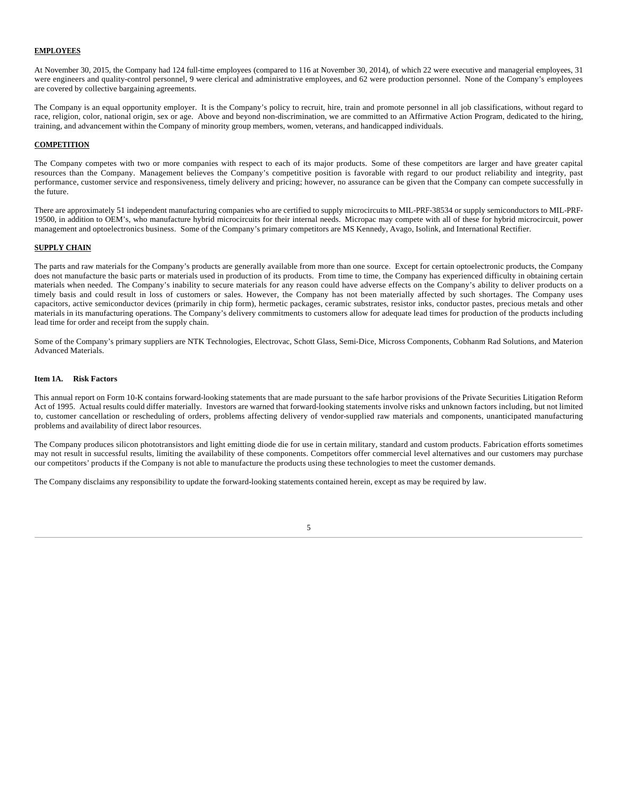# **EMPLOYEES**

At November 30, 2015, the Company had 124 full-time employees (compared to 116 at November 30, 2014), of which 22 were executive and managerial employees, 31 were engineers and quality-control personnel, 9 were clerical and administrative employees, and 62 were production personnel. None of the Company's employees are covered by collective bargaining agreements.

The Company is an equal opportunity employer. It is the Company's policy to recruit, hire, train and promote personnel in all job classifications, without regard to race, religion, color, national origin, sex or age. Above and beyond non-discrimination, we are committed to an Affirmative Action Program, dedicated to the hiring, training, and advancement within the Company of minority group members, women, veterans, and handicapped individuals.

# **COMPETITION**

The Company competes with two or more companies with respect to each of its major products. Some of these competitors are larger and have greater capital resources than the Company. Management believes the Company's competitive position is favorable with regard to our product reliability and integrity, past performance, customer service and responsiveness, timely delivery and pricing; however, no assurance can be given that the Company can compete successfully in the future.

There are approximately 51 independent manufacturing companies who are certified to supply microcircuits to MIL-PRF-38534 or supply semiconductors to MIL-PRF-19500, in addition to OEM's, who manufacture hybrid microcircuits for their internal needs. Micropac may compete with all of these for hybrid microcircuit, power management and optoelectronics business. Some of the Company's primary competitors are MS Kennedy, Avago, Isolink, and International Rectifier.

### **SUPPLY CHAIN**

The parts and raw materials for the Company's products are generally available from more than one source. Except for certain optoelectronic products, the Company does not manufacture the basic parts or materials used in production of its products. From time to time, the Company has experienced difficulty in obtaining certain materials when needed. The Company's inability to secure materials for any reason could have adverse effects on the Company's ability to deliver products on a timely basis and could result in loss of customers or sales. However, the Company has not been materially affected by such shortages. The Company uses capacitors, active semiconductor devices (primarily in chip form), hermetic packages, ceramic substrates, resistor inks, conductor pastes, precious metals and other materials in its manufacturing operations. The Company's delivery commitments to customers allow for adequate lead times for production of the products including lead time for order and receipt from the supply chain.

Some of the Company's primary suppliers are NTK Technologies, Electrovac, Schott Glass, Semi-Dice, Micross Components, Cobhanm Rad Solutions, and Materion Advanced Materials.

### **Item 1A. Risk Factors**

This annual report on Form 10-K contains forward-looking statements that are made pursuant to the safe harbor provisions of the Private Securities Litigation Reform Act of 1995. Actual results could differ materially. Investors are warned that forward-looking statements involve risks and unknown factors including, but not limited to, customer cancellation or rescheduling of orders, problems affecting delivery of vendor-supplied raw materials and components, unanticipated manufacturing problems and availability of direct labor resources.

The Company produces silicon phototransistors and light emitting diode die for use in certain military, standard and custom products. Fabrication efforts sometimes may not result in successful results, limiting the availability of these components. Competitors offer commercial level alternatives and our customers may purchase our competitors' products if the Company is not able to manufacture the products using these technologies to meet the customer demands.

The Company disclaims any responsibility to update the forward-looking statements contained herein, except as may be required by law.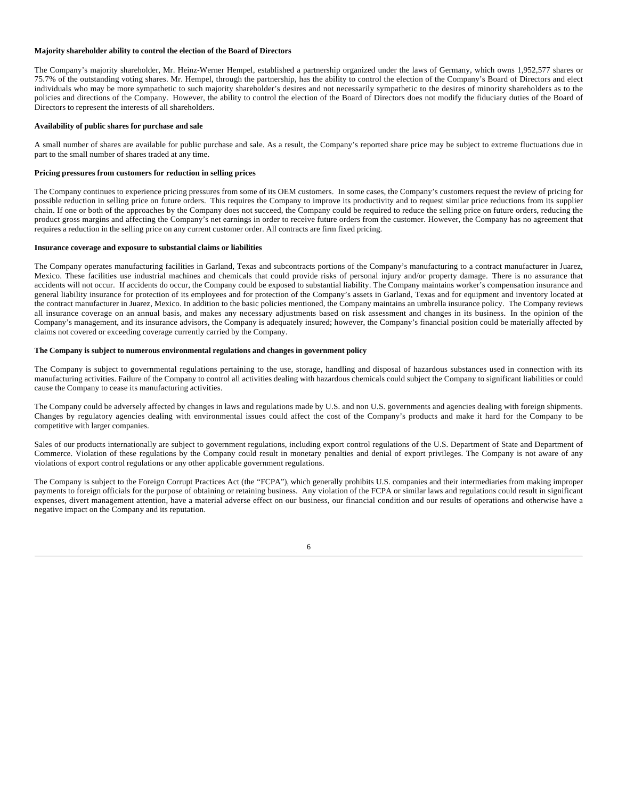### **Majority shareholder ability to control the election of the Board of Directors**

The Company's majority shareholder, Mr. Heinz-Werner Hempel, established a partnership organized under the laws of Germany, which owns 1,952,577 shares or 75.7% of the outstanding voting shares. Mr. Hempel, through the partnership, has the ability to control the election of the Company's Board of Directors and elect individuals who may be more sympathetic to such majority shareholder's desires and not necessarily sympathetic to the desires of minority shareholders as to the policies and directions of the Company. However, the ability to control the election of the Board of Directors does not modify the fiduciary duties of the Board of Directors to represent the interests of all shareholders.

### **Availability of public shares for purchase and sale**

A small number of shares are available for public purchase and sale. As a result, the Company's reported share price may be subject to extreme fluctuations due in part to the small number of shares traded at any time.

### **Pricing pressures from customers for reduction in selling prices**

The Company continues to experience pricing pressures from some of its OEM customers. In some cases, the Company's customers request the review of pricing for possible reduction in selling price on future orders. This requires the Company to improve its productivity and to request similar price reductions from its supplier chain. If one or both of the approaches by the Company does not succeed, the Company could be required to reduce the selling price on future orders, reducing the product gross margins and affecting the Company's net earnings in order to receive future orders from the customer. However, the Company has no agreement that requires a reduction in the selling price on any current customer order. All contracts are firm fixed pricing.

### **Insurance coverage and exposure to substantial claims or liabilities**

The Company operates manufacturing facilities in Garland, Texas and subcontracts portions of the Company's manufacturing to a contract manufacturer in Juarez, Mexico. These facilities use industrial machines and chemicals that could provide risks of personal injury and/or property damage. There is no assurance that accidents will not occur. If accidents do occur, the Company could be exposed to substantial liability. The Company maintains worker's compensation insurance and general liability insurance for protection of its employees and for protection of the Company's assets in Garland, Texas and for equipment and inventory located at the contract manufacturer in Juarez, Mexico. In addition to the basic policies mentioned, the Company maintains an umbrella insurance policy. The Company reviews all insurance coverage on an annual basis, and makes any necessary adjustments based on risk assessment and changes in its business. In the opinion of the Company's management, and its insurance advisors, the Company is adequately insured; however, the Company's financial position could be materially affected by claims not covered or exceeding coverage currently carried by the Company.

### **The Company is subject to numerous environmental regulations and changes in government policy**

The Company is subject to governmental regulations pertaining to the use, storage, handling and disposal of hazardous substances used in connection with its manufacturing activities. Failure of the Company to control all activities dealing with hazardous chemicals could subject the Company to significant liabilities or could cause the Company to cease its manufacturing activities.

The Company could be adversely affected by changes in laws and regulations made by U.S. and non U.S. governments and agencies dealing with foreign shipments. Changes by regulatory agencies dealing with environmental issues could affect the cost of the Company's products and make it hard for the Company to be competitive with larger companies.

Sales of our products internationally are subject to government regulations, including export control regulations of the U.S. Department of State and Department of Commerce. Violation of these regulations by the Company could result in monetary penalties and denial of export privileges. The Company is not aware of any violations of export control regulations or any other applicable government regulations.

The Company is subject to the Foreign Corrupt Practices Act (the "FCPA"), which generally prohibits U.S. companies and their intermediaries from making improper payments to foreign officials for the purpose of obtaining or retaining business. Any violation of the FCPA or similar laws and regulations could result in significant expenses, divert management attention, have a material adverse effect on our business, our financial condition and our results of operations and otherwise have a negative impact on the Company and its reputation.

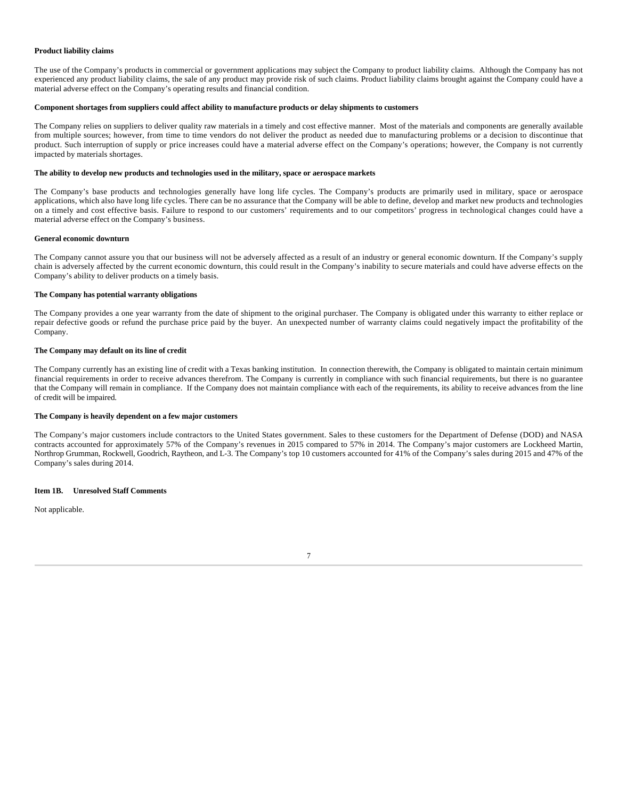### **Product liability claims**

The use of the Company's products in commercial or government applications may subject the Company to product liability claims. Although the Company has not experienced any product liability claims, the sale of any product may provide risk of such claims. Product liability claims brought against the Company could have a material adverse effect on the Company's operating results and financial condition.

### **Component shortages from suppliers could affect ability to manufacture products or delay shipments to customers**

The Company relies on suppliers to deliver quality raw materials in a timely and cost effective manner. Most of the materials and components are generally available from multiple sources; however, from time to time vendors do not deliver the product as needed due to manufacturing problems or a decision to discontinue that product. Such interruption of supply or price increases could have a material adverse effect on the Company's operations; however, the Company is not currently impacted by materials shortages.

### **The ability to develop new products and technologies used in the military, space or aerospace markets**

The Company's base products and technologies generally have long life cycles. The Company's products are primarily used in military, space or aerospace applications, which also have long life cycles. There can be no assurance that the Company will be able to define, develop and market new products and technologies on a timely and cost effective basis. Failure to respond to our customers' requirements and to our competitors' progress in technological changes could have a material adverse effect on the Company's business.

### **General economic downturn**

The Company cannot assure you that our business will not be adversely affected as a result of an industry or general economic downturn. If the Company's supply chain is adversely affected by the current economic downturn, this could result in the Company's inability to secure materials and could have adverse effects on the Company's ability to deliver products on a timely basis.

### **The Company has potential warranty obligations**

The Company provides a one year warranty from the date of shipment to the original purchaser. The Company is obligated under this warranty to either replace or repair defective goods or refund the purchase price paid by the buyer. An unexpected number of warranty claims could negatively impact the profitability of the Company.

### **The Company may default on its line of credit**

The Company currently has an existing line of credit with a Texas banking institution. In connection therewith, the Company is obligated to maintain certain minimum financial requirements in order to receive advances therefrom. The Company is currently in compliance with such financial requirements, but there is no guarantee that the Company will remain in compliance. If the Company does not maintain compliance with each of the requirements, its ability to receive advances from the line of credit will be impaired.

# **The Company is heavily dependent on a few major customers**

The Company's major customers include contractors to the United States government. Sales to these customers for the Department of Defense (DOD) and NASA contracts accounted for approximately 57% of the Company's revenues in 2015 compared to 57% in 2014. The Company's major customers are Lockheed Martin, Northrop Grumman, Rockwell, Goodrich, Raytheon, and L-3. The Company's top 10 customers accounted for 41% of the Company's sales during 2015 and 47% of the Company's sales during 2014.

### **Item 1B. Unresolved Staff Comments**

Not applicable.

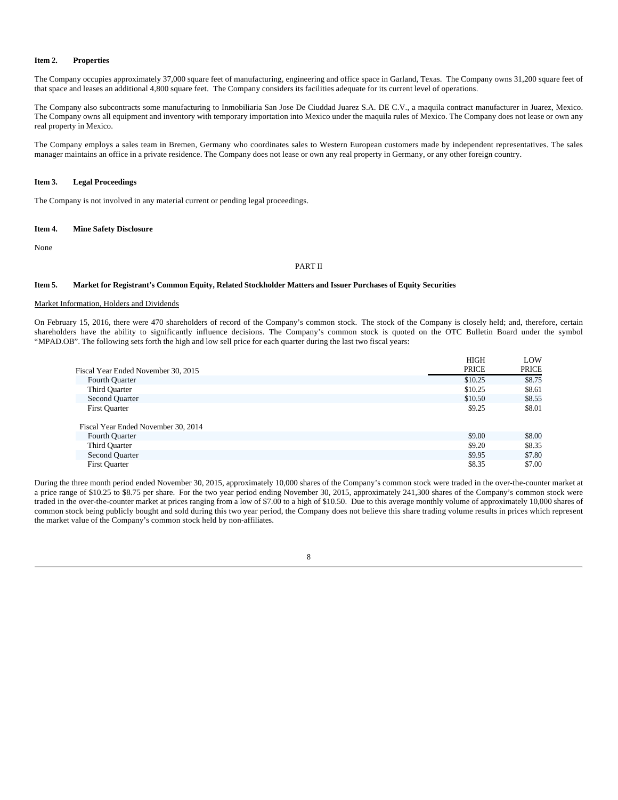### **Item 2. Properties**

The Company occupies approximately 37,000 square feet of manufacturing, engineering and office space in Garland, Texas. The Company owns 31,200 square feet of that space and leases an additional 4,800 square feet. The Company considers its facilities adequate for its current level of operations.

The Company also subcontracts some manufacturing to Inmobiliaria San Jose De Ciuddad Juarez S.A. DE C.V., a maquila contract manufacturer in Juarez, Mexico. The Company owns all equipment and inventory with temporary importation into Mexico under the maquila rules of Mexico. The Company does not lease or own any real property in Mexico.

The Company employs a sales team in Bremen, Germany who coordinates sales to Western European customers made by independent representatives. The sales manager maintains an office in a private residence. The Company does not lease or own any real property in Germany, or any other foreign country.

# **Item 3. Legal Proceedings**

The Company is not involved in any material current or pending legal proceedings.

### **Item 4. Mine Safety Disclosure**

None

#### PART II

### **Item 5. Market for Registrant's Common Equity, Related Stockholder Matters and Issuer Purchases of Equity Securities**

### Market Information, Holders and Dividends

On February 15, 2016, there were 470 shareholders of record of the Company's common stock. The stock of the Company is closely held; and, therefore, certain shareholders have the ability to significantly influence decisions. The Company's common stock is quoted on the OTC Bulletin Board under the symbol "MPAD.OB". The following sets forth the high and low sell price for each quarter during the last two fiscal years:

|                                     | <b>HIGH</b> | LOW    |
|-------------------------------------|-------------|--------|
| Fiscal Year Ended November 30, 2015 | PRICE       | PRICE  |
| Fourth Quarter                      | \$10.25     | \$8.75 |
| Third Quarter                       | \$10.25     | \$8.61 |
| Second Quarter                      | \$10.50     | \$8.55 |
| <b>First Quarter</b>                | \$9.25      | \$8.01 |
| Fiscal Year Ended November 30, 2014 |             |        |
|                                     | \$9.00      | \$8.00 |
| Fourth Quarter                      |             |        |
| Third Quarter                       | \$9.20      | \$8.35 |
| Second Quarter                      | \$9.95      | \$7.80 |
| <b>First Quarter</b>                | \$8.35      | \$7.00 |
|                                     |             |        |

During the three month period ended November 30, 2015, approximately 10,000 shares of the Company's common stock were traded in the over-the-counter market at a price range of \$10.25 to \$8.75 per share. For the two year period ending November 30, 2015, approximately 241,300 shares of the Company's common stock were traded in the over-the-counter market at prices ranging from a low of \$7.00 to a high of \$10.50. Due to this average monthly volume of approximately 10,000 shares of common stock being publicly bought and sold during this two year period, the Company does not believe this share trading volume results in prices which represent the market value of the Company's common stock held by non-affiliates.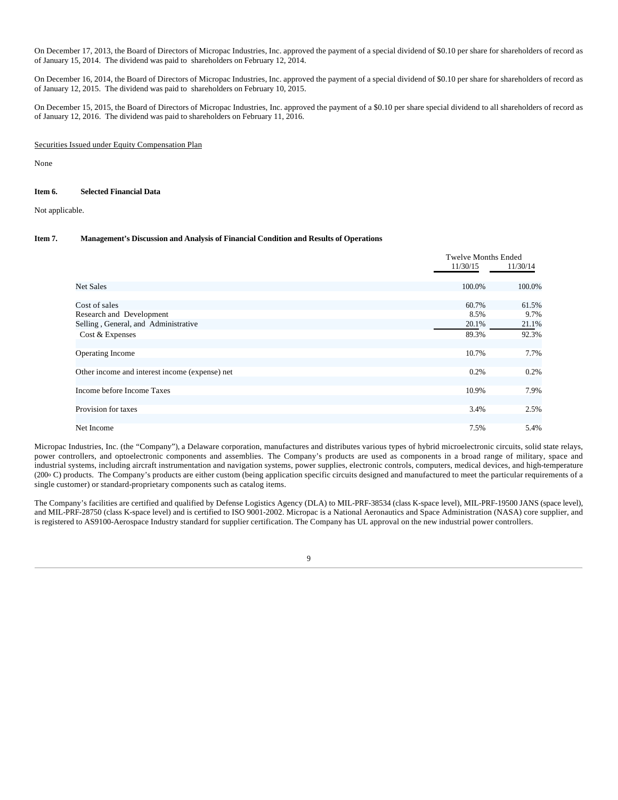On December 17, 2013, the Board of Directors of Micropac Industries, Inc. approved the payment of a special dividend of \$0.10 per share for shareholders of record as of January 15, 2014. The dividend was paid to shareholders on February 12, 2014.

On December 16, 2014, the Board of Directors of Micropac Industries, Inc. approved the payment of a special dividend of \$0.10 per share for shareholders of record as of January 12, 2015. The dividend was paid to shareholders on February 10, 2015.

On December 15, 2015, the Board of Directors of Micropac Industries, Inc. approved the payment of a \$0.10 per share special dividend to all shareholders of record as of January 12, 2016. The dividend was paid to shareholders on February 11, 2016.

### Securities Issued under Equity Compensation Plan

None

### **Item 6. Selected Financial Data**

Not applicable.

# **Item 7. Management's Discussion and Analysis of Financial Condition and Results of Operations**

|                                                | <b>Twelve Months Ended</b> |          |  |
|------------------------------------------------|----------------------------|----------|--|
|                                                | 11/30/15                   | 11/30/14 |  |
|                                                |                            |          |  |
| <b>Net Sales</b>                               | 100.0%                     | 100.0%   |  |
| Cost of sales                                  | 60.7%                      | 61.5%    |  |
| Research and Development                       | 8.5%                       | 9.7%     |  |
| Selling, General, and Administrative           | 20.1%                      | 21.1%    |  |
| Cost & Expenses                                | 89.3%                      | 92.3%    |  |
|                                                |                            |          |  |
| Operating Income                               | 10.7%                      | 7.7%     |  |
| Other income and interest income (expense) net | 0.2%                       | 0.2%     |  |
| Income before Income Taxes                     | 10.9%                      | 7.9%     |  |
| Provision for taxes                            | 3.4%                       | 2.5%     |  |
| Net Income                                     | 7.5%                       | 5.4%     |  |

Micropac Industries, Inc. (the "Company"), a Delaware corporation, manufactures and distributes various types of hybrid microelectronic circuits, solid state relays, power controllers, and optoelectronic components and assemblies. The Company's products are used as components in a broad range of military, space and industrial systems, including aircraft instrumentation and navigation systems, power supplies, electronic controls, computers, medical devices, and high-temperature (200o C) products. The Company's products are either custom (being application specific circuits designed and manufactured to meet the particular requirements of a single customer) or standard-proprietary components such as catalog items.

The Company's facilities are certified and qualified by Defense Logistics Agency (DLA) to MIL-PRF-38534 (class K-space level), MIL-PRF-19500 JANS (space level), and MIL-PRF-28750 (class K-space level) and is certified to ISO 9001-2002. Micropac is a National Aeronautics and Space Administration (NASA) core supplier, and is registered to AS9100-Aerospace Industry standard for supplier certification. The Company has UL approval on the new industrial power controllers.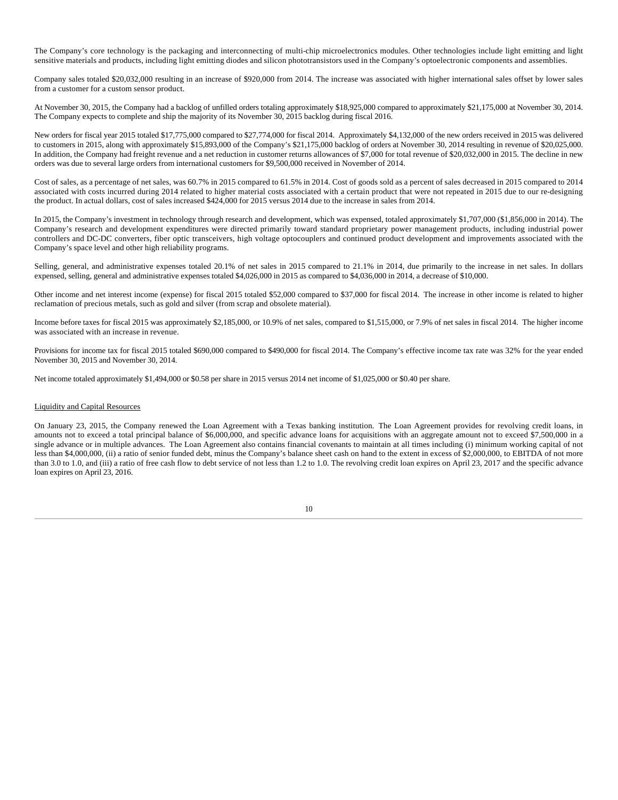The Company's core technology is the packaging and interconnecting of multi-chip microelectronics modules. Other technologies include light emitting and light sensitive materials and products, including light emitting diodes and silicon phototransistors used in the Company's optoelectronic components and assemblies.

Company sales totaled \$20,032,000 resulting in an increase of \$920,000 from 2014. The increase was associated with higher international sales offset by lower sales from a customer for a custom sensor product.

At November 30, 2015, the Company had a backlog of unfilled orders totaling approximately \$18,925,000 compared to approximately \$21,175,000 at November 30, 2014. The Company expects to complete and ship the majority of its November 30, 2015 backlog during fiscal 2016.

New orders for fiscal year 2015 totaled \$17,775,000 compared to \$27,774,000 for fiscal 2014. Approximately \$4,132,000 of the new orders received in 2015 was delivered to customers in 2015, along with approximately \$15,893,000 of the Company's \$21,175,000 backlog of orders at November 30, 2014 resulting in revenue of \$20,025,000. In addition, the Company had freight revenue and a net reduction in customer returns allowances of \$7,000 for total revenue of \$20,032,000 in 2015. The decline in new orders was due to several large orders from international customers for \$9,500,000 received in November of 2014.

Cost of sales, as a percentage of net sales, was 60.7% in 2015 compared to 61.5% in 2014. Cost of goods sold as a percent of sales decreased in 2015 compared to 2014 associated with costs incurred during 2014 related to higher material costs associated with a certain product that were not repeated in 2015 due to our re-designing the product. In actual dollars, cost of sales increased \$424,000 for 2015 versus 2014 due to the increase in sales from 2014.

In 2015, the Company's investment in technology through research and development, which was expensed, totaled approximately \$1,707,000 (\$1,856,000 in 2014). The Company's research and development expenditures were directed primarily toward standard proprietary power management products, including industrial power controllers and DC-DC converters, fiber optic transceivers, high voltage optocouplers and continued product development and improvements associated with the Company's space level and other high reliability programs.

Selling, general, and administrative expenses totaled 20.1% of net sales in 2015 compared to 21.1% in 2014, due primarily to the increase in net sales. In dollars expensed, selling, general and administrative expenses totaled \$4,026,000 in 2015 as compared to \$4,036,000 in 2014, a decrease of \$10,000.

Other income and net interest income (expense) for fiscal 2015 totaled \$52,000 compared to \$37,000 for fiscal 2014. The increase in other income is related to higher reclamation of precious metals, such as gold and silver (from scrap and obsolete material).

Income before taxes for fiscal 2015 was approximately \$2,185,000, or 10.9% of net sales, compared to \$1,515,000, or 7.9% of net sales in fiscal 2014. The higher income was associated with an increase in revenue.

Provisions for income tax for fiscal 2015 totaled \$690,000 compared to \$490,000 for fiscal 2014. The Company's effective income tax rate was 32% for the year ended November 30, 2015 and November 30, 2014.

Net income totaled approximately \$1,494,000 or \$0.58 per share in 2015 versus 2014 net income of \$1,025,000 or \$0.40 per share.

### Liquidity and Capital Resources

On January 23, 2015, the Company renewed the Loan Agreement with a Texas banking institution. The Loan Agreement provides for revolving credit loans, in amounts not to exceed a total principal balance of \$6,000,000, and specific advance loans for acquisitions with an aggregate amount not to exceed \$7,500,000 in a single advance or in multiple advances. The Loan Agreement also contains financial covenants to maintain at all times including (i) minimum working capital of not less than \$4,000,000, (ii) a ratio of senior funded debt, minus the Company's balance sheet cash on hand to the extent in excess of \$2,000,000, to EBITDA of not more than 3.0 to 1.0, and (iii) a ratio of free cash flow to debt service of not less than 1.2 to 1.0. The revolving credit loan expires on April 23, 2017 and the specific advance loan expires on April 23, 2016.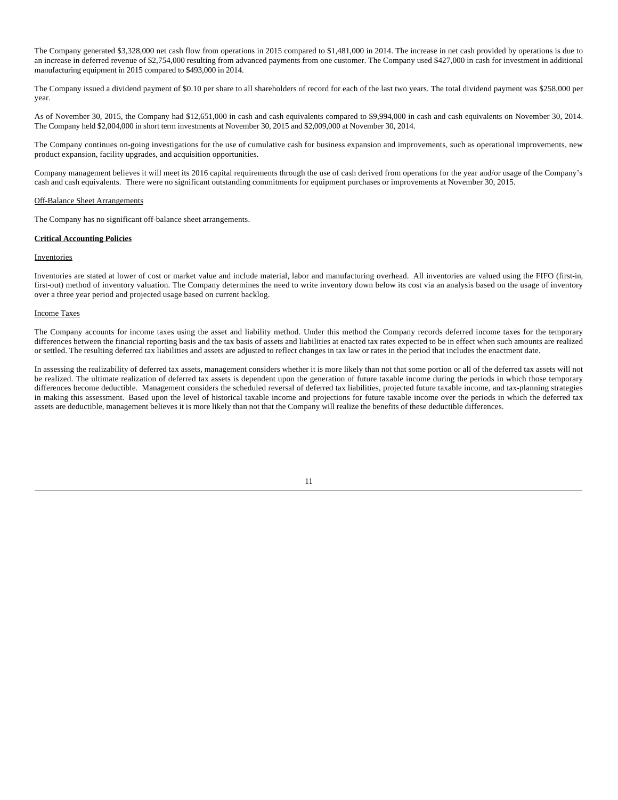The Company generated \$3,328,000 net cash flow from operations in 2015 compared to \$1,481,000 in 2014. The increase in net cash provided by operations is due to an increase in deferred revenue of \$2,754,000 resulting from advanced payments from one customer. The Company used \$427,000 in cash for investment in additional manufacturing equipment in 2015 compared to \$493,000 in 2014.

The Company issued a dividend payment of \$0.10 per share to all shareholders of record for each of the last two years. The total dividend payment was \$258,000 per year.

As of November 30, 2015, the Company had \$12,651,000 in cash and cash equivalents compared to \$9,994,000 in cash and cash equivalents on November 30, 2014. The Company held \$2,004,000 in short term investments at November 30, 2015 and \$2,009,000 at November 30, 2014.

The Company continues on-going investigations for the use of cumulative cash for business expansion and improvements, such as operational improvements, new product expansion, facility upgrades, and acquisition opportunities.

Company management believes it will meet its 2016 capital requirements through the use of cash derived from operations for the year and/or usage of the Company's cash and cash equivalents. There were no significant outstanding commitments for equipment purchases or improvements at November 30, 2015.

### Off-Balance Sheet Arrangements

The Company has no significant off-balance sheet arrangements.

# **Critical Accounting Policies**

### **Inventories**

Inventories are stated at lower of cost or market value and include material, labor and manufacturing overhead. All inventories are valued using the FIFO (first-in, first-out) method of inventory valuation. The Company determines the need to write inventory down below its cost via an analysis based on the usage of inventory over a three year period and projected usage based on current backlog.

### Income Taxes

The Company accounts for income taxes using the asset and liability method. Under this method the Company records deferred income taxes for the temporary differences between the financial reporting basis and the tax basis of assets and liabilities at enacted tax rates expected to be in effect when such amounts are realized or settled. The resulting deferred tax liabilities and assets are adjusted to reflect changes in tax law or rates in the period that includes the enactment date.

In assessing the realizability of deferred tax assets, management considers whether it is more likely than not that some portion or all of the deferred tax assets will not be realized. The ultimate realization of deferred tax assets is dependent upon the generation of future taxable income during the periods in which those temporary differences become deductible. Management considers the scheduled reversal of deferred tax liabilities, projected future taxable income, and tax-planning strategies in making this assessment. Based upon the level of historical taxable income and projections for future taxable income over the periods in which the deferred tax assets are deductible, management believes it is more likely than not that the Company will realize the benefits of these deductible differences.

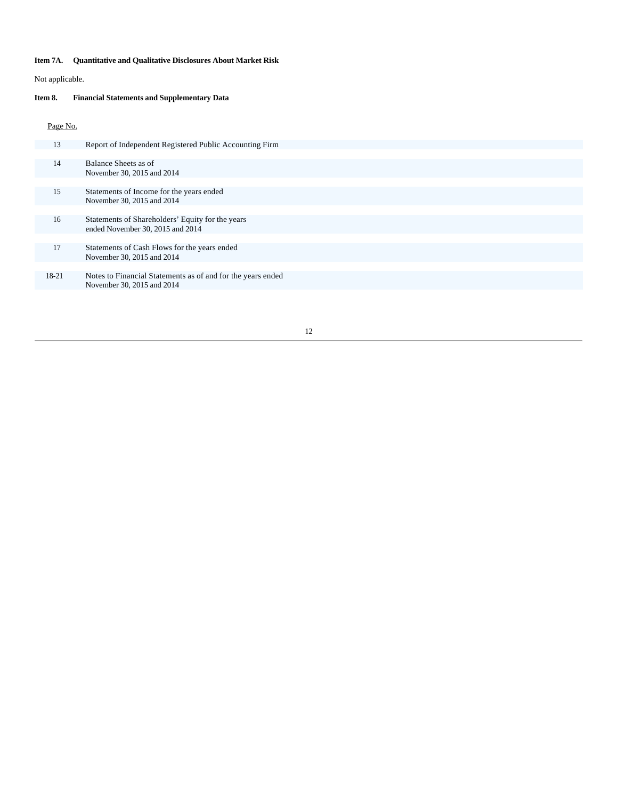# **Item 7A. Quantitative and Qualitative Disclosures About Market Risk**

Not applicable.

# **Item 8. Financial Statements and Supplementary Data**

# Page No.

| 13    | Report of Independent Registered Public Accounting Firm                                   |
|-------|-------------------------------------------------------------------------------------------|
|       |                                                                                           |
| 14    | Balance Sheets as of<br>November 30, 2015 and 2014                                        |
|       |                                                                                           |
| 15    | Statements of Income for the years ended<br>November 30, 2015 and 2014                    |
|       |                                                                                           |
| 16    | Statements of Shareholders' Equity for the years<br>ended November 30, 2015 and 2014      |
|       |                                                                                           |
| 17    | Statements of Cash Flows for the years ended<br>November 30, 2015 and 2014                |
|       |                                                                                           |
| 18-21 | Notes to Financial Statements as of and for the years ended<br>November 30, 2015 and 2014 |
|       |                                                                                           |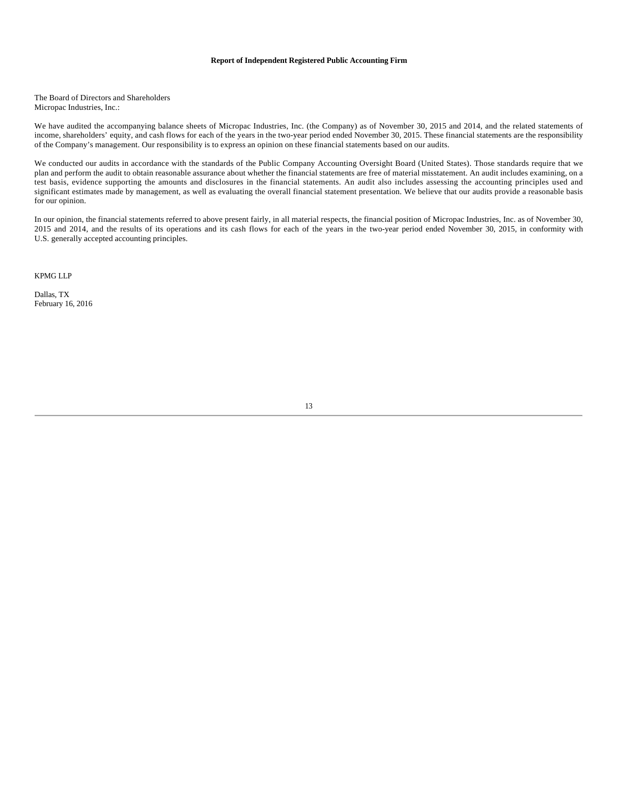### **Report of Independent Registered Public Accounting Firm**

The Board of Directors and Shareholders Micropac Industries, Inc.:

We have audited the accompanying balance sheets of Micropac Industries, Inc. (the Company) as of November 30, 2015 and 2014, and the related statements of income, shareholders' equity, and cash flows for each of the years in the two-year period ended November 30, 2015. These financial statements are the responsibility of the Company's management. Our responsibility is to express an opinion on these financial statements based on our audits.

We conducted our audits in accordance with the standards of the Public Company Accounting Oversight Board (United States). Those standards require that we plan and perform the audit to obtain reasonable assurance about whether the financial statements are free of material misstatement. An audit includes examining, on a test basis, evidence supporting the amounts and disclosures in the financial statements. An audit also includes assessing the accounting principles used and significant estimates made by management, as well as evaluating the overall financial statement presentation. We believe that our audits provide a reasonable basis for our opinion.

In our opinion, the financial statements referred to above present fairly, in all material respects, the financial position of Micropac Industries, Inc. as of November 30, 2015 and 2014, and the results of its operations and its cash flows for each of the years in the two-year period ended November 30, 2015, in conformity with U.S. generally accepted accounting principles.

KPMG LLP

Dallas, TX February 16, 2016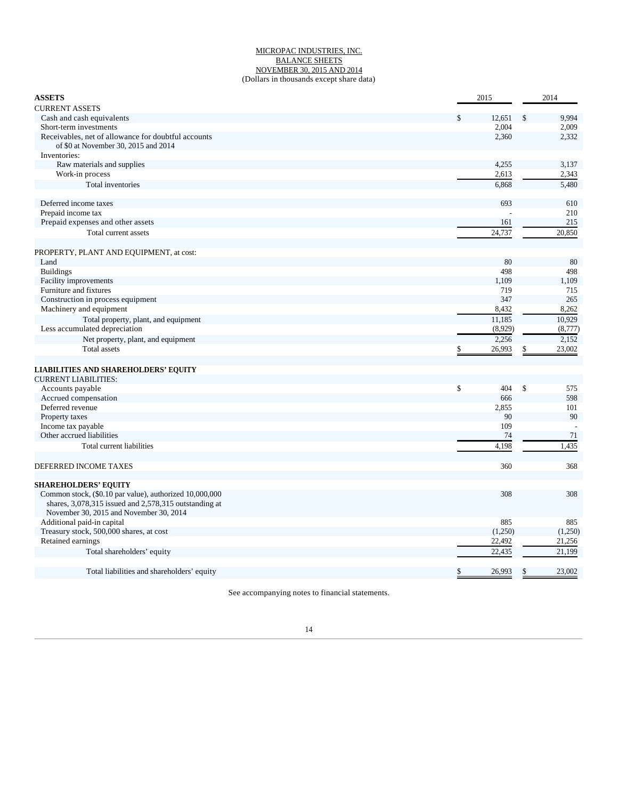### MICROPAC INDUSTRIES, INC. BALANCE SHEETS NOVEMBER 30, 2015 AND 2014 (Dollars in thousands except share data)

| <b>ASSETS</b>                                                                                                                                               | 2015         | 2014         |
|-------------------------------------------------------------------------------------------------------------------------------------------------------------|--------------|--------------|
| <b>CURRENT ASSETS</b>                                                                                                                                       |              |              |
| Cash and cash equivalents                                                                                                                                   | 12,651<br>\$ | \$<br>9,994  |
| Short-term investments                                                                                                                                      | 2.004        | 2,009        |
| Receivables, net of allowance for doubtful accounts<br>of \$0 at November 30, 2015 and 2014                                                                 | 2,360        | 2,332        |
| Inventories:                                                                                                                                                |              |              |
| Raw materials and supplies                                                                                                                                  | 4,255        | 3,137        |
| Work-in process                                                                                                                                             | 2,613        | 2,343        |
| Total inventories                                                                                                                                           | 6,868        | 5,480        |
| Deferred income taxes                                                                                                                                       | 693          | 610          |
| Prepaid income tax                                                                                                                                          |              | 210          |
| Prepaid expenses and other assets                                                                                                                           | 161          | 215          |
| Total current assets                                                                                                                                        | 24,737       | 20,850       |
|                                                                                                                                                             |              |              |
| PROPERTY, PLANT AND EQUIPMENT, at cost:                                                                                                                     |              |              |
| Land                                                                                                                                                        | 80           | 80           |
| <b>Buildings</b>                                                                                                                                            | 498          | 498          |
| Facility improvements                                                                                                                                       | 1,109        | 1,109        |
| Furniture and fixtures                                                                                                                                      | 719          | 715          |
| Construction in process equipment                                                                                                                           | 347          | 265          |
| Machinery and equipment                                                                                                                                     | 8,432        | 8,262        |
| Total property, plant, and equipment                                                                                                                        | 11,185       | 10,929       |
| Less accumulated depreciation                                                                                                                               | (8,929)      | (8,777)      |
| Net property, plant, and equipment                                                                                                                          | 2,256        | 2,152        |
| <b>Total assets</b>                                                                                                                                         | 26,993<br>S  | 23,002<br>\$ |
| <b>LIABILITIES AND SHAREHOLDERS' EQUITY</b>                                                                                                                 |              |              |
| <b>CURRENT LIABILITIES:</b>                                                                                                                                 |              |              |
| Accounts payable                                                                                                                                            | \$<br>404    | \$<br>575    |
| Accrued compensation                                                                                                                                        | 666          | 598          |
| Deferred revenue                                                                                                                                            | 2,855        | 101          |
| Property taxes                                                                                                                                              | 90           | 90           |
| Income tax payable                                                                                                                                          | 109          |              |
| Other accrued liabilities                                                                                                                                   | 74           | 71           |
| Total current liabilities                                                                                                                                   | 4,198        | 1,435        |
|                                                                                                                                                             |              |              |
| DEFERRED INCOME TAXES                                                                                                                                       | 360          | 368          |
| <b>SHAREHOLDERS' EQUITY</b>                                                                                                                                 |              |              |
| Common stock, (\$0.10 par value), authorized 10,000,000<br>shares, 3,078,315 issued and 2,578,315 outstanding at<br>November 30, 2015 and November 30, 2014 | 308          | 308          |
| Additional paid-in capital                                                                                                                                  | 885          | 885          |
| Treasury stock, 500,000 shares, at cost                                                                                                                     | (1,250)      | (1,250)      |
| Retained earnings                                                                                                                                           | 22,492       | 21,256       |
| Total shareholders' equity                                                                                                                                  | 22,435       | 21,199       |
|                                                                                                                                                             |              |              |
| Total liabilities and shareholders' equity                                                                                                                  | \$<br>26,993 | 23,002<br>\$ |

See accompanying notes to financial statements.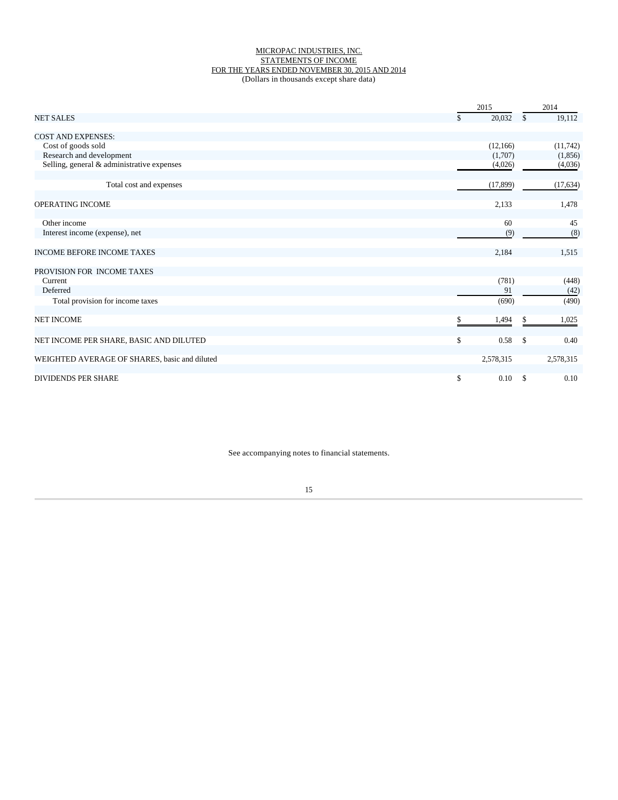### MICROPAC INDUSTRIES, INC. STATEMENTS OF INCOME FOR THE YEARS ENDED NOVEMBER 30, 2015 AND 2014 (Dollars in thousands except share data)

| 20,032<br>19,112<br><b>NET SALES</b><br>\$<br>S<br><b>COST AND EXPENSES:</b><br>Cost of goods sold<br>(12, 166)<br>(11, 742)<br>Research and development<br>(1,707)<br>(1, 856)<br>Selling, general & administrative expenses<br>(4,026)<br>(4,036)<br>Total cost and expenses<br>(17, 899)<br>(17, 634)<br>OPERATING INCOME<br>2,133<br>1,478<br>Other income<br>45<br>60<br>(8)<br>Interest income (expense), net<br>(9)<br><b>INCOME BEFORE INCOME TAXES</b><br>2,184<br>1,515<br>PROVISION FOR INCOME TAXES<br>(781)<br>(448)<br>Current<br>Deferred<br>91<br>(42)<br>(490)<br>Total provision for income taxes<br>(690)<br><b>NET INCOME</b><br>1,494<br>1,025<br>S<br>\$<br>0.40<br>NET INCOME PER SHARE, BASIC AND DILUTED<br>0.58<br>-S<br>WEIGHTED AVERAGE OF SHARES, basic and diluted<br>2,578,315<br>2,578,315 |                            | 2015 |      | 2014                  |
|----------------------------------------------------------------------------------------------------------------------------------------------------------------------------------------------------------------------------------------------------------------------------------------------------------------------------------------------------------------------------------------------------------------------------------------------------------------------------------------------------------------------------------------------------------------------------------------------------------------------------------------------------------------------------------------------------------------------------------------------------------------------------------------------------------------------------|----------------------------|------|------|-----------------------|
|                                                                                                                                                                                                                                                                                                                                                                                                                                                                                                                                                                                                                                                                                                                                                                                                                            |                            |      |      |                       |
|                                                                                                                                                                                                                                                                                                                                                                                                                                                                                                                                                                                                                                                                                                                                                                                                                            |                            |      |      |                       |
|                                                                                                                                                                                                                                                                                                                                                                                                                                                                                                                                                                                                                                                                                                                                                                                                                            |                            |      |      |                       |
|                                                                                                                                                                                                                                                                                                                                                                                                                                                                                                                                                                                                                                                                                                                                                                                                                            |                            |      |      |                       |
|                                                                                                                                                                                                                                                                                                                                                                                                                                                                                                                                                                                                                                                                                                                                                                                                                            |                            |      |      |                       |
|                                                                                                                                                                                                                                                                                                                                                                                                                                                                                                                                                                                                                                                                                                                                                                                                                            |                            |      |      |                       |
|                                                                                                                                                                                                                                                                                                                                                                                                                                                                                                                                                                                                                                                                                                                                                                                                                            |                            |      |      |                       |
|                                                                                                                                                                                                                                                                                                                                                                                                                                                                                                                                                                                                                                                                                                                                                                                                                            |                            |      |      |                       |
|                                                                                                                                                                                                                                                                                                                                                                                                                                                                                                                                                                                                                                                                                                                                                                                                                            |                            |      |      |                       |
|                                                                                                                                                                                                                                                                                                                                                                                                                                                                                                                                                                                                                                                                                                                                                                                                                            |                            |      |      |                       |
|                                                                                                                                                                                                                                                                                                                                                                                                                                                                                                                                                                                                                                                                                                                                                                                                                            |                            |      |      |                       |
|                                                                                                                                                                                                                                                                                                                                                                                                                                                                                                                                                                                                                                                                                                                                                                                                                            |                            |      |      |                       |
|                                                                                                                                                                                                                                                                                                                                                                                                                                                                                                                                                                                                                                                                                                                                                                                                                            |                            |      |      |                       |
|                                                                                                                                                                                                                                                                                                                                                                                                                                                                                                                                                                                                                                                                                                                                                                                                                            |                            |      |      |                       |
|                                                                                                                                                                                                                                                                                                                                                                                                                                                                                                                                                                                                                                                                                                                                                                                                                            |                            |      |      |                       |
|                                                                                                                                                                                                                                                                                                                                                                                                                                                                                                                                                                                                                                                                                                                                                                                                                            |                            |      |      |                       |
|                                                                                                                                                                                                                                                                                                                                                                                                                                                                                                                                                                                                                                                                                                                                                                                                                            |                            |      |      |                       |
|                                                                                                                                                                                                                                                                                                                                                                                                                                                                                                                                                                                                                                                                                                                                                                                                                            |                            |      |      |                       |
|                                                                                                                                                                                                                                                                                                                                                                                                                                                                                                                                                                                                                                                                                                                                                                                                                            |                            |      |      |                       |
|                                                                                                                                                                                                                                                                                                                                                                                                                                                                                                                                                                                                                                                                                                                                                                                                                            | <b>DIVIDENDS PER SHARE</b> | \$   | 0.10 | 0.10<br><sup>\$</sup> |

See accompanying notes to financial statements.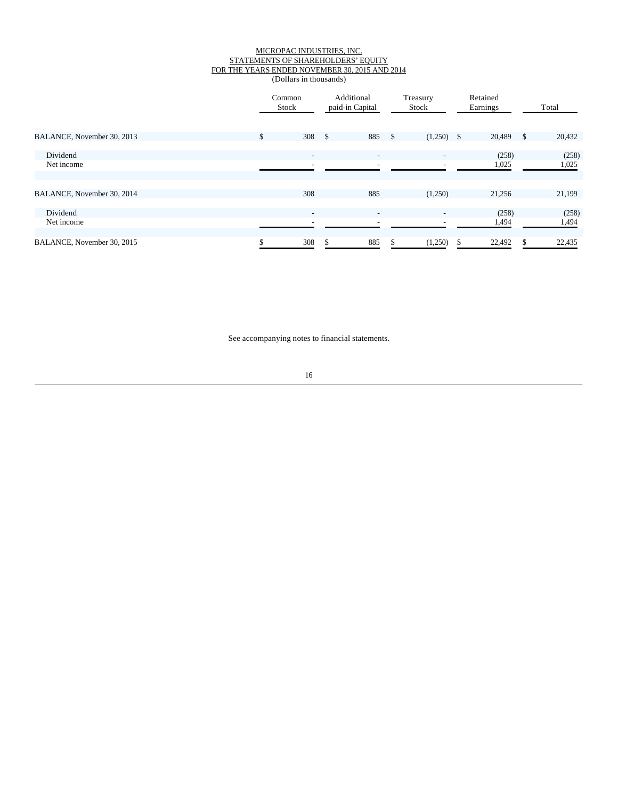### MICROPAC INDUSTRIES, INC. STATEMENTS OF SHAREHOLDERS' EQUITY FOR THE YEARS ENDED NOVEMBER 30, 2015 AND 2014 (Dollars in thousands)

|                            |     | Common<br>Stock          | Additional<br>paid-in Capital |     | Treasury<br>Stock        | Retained<br>Earnings |              | Total  |
|----------------------------|-----|--------------------------|-------------------------------|-----|--------------------------|----------------------|--------------|--------|
| BALANCE, November 30, 2013 | \$. | $308 \quad$ \$           | 885                           | -\$ | $(1,250)$ \$             | 20,489               | $\mathbb{S}$ | 20,432 |
| Dividend                   |     | $\sim$                   | $\overline{\phantom{a}}$      |     | $\overline{\phantom{a}}$ | (258)                |              | (258)  |
| Net income                 |     | $\overline{\phantom{a}}$ |                               |     |                          | 1,025                |              | 1,025  |
| BALANCE, November 30, 2014 |     | 308                      | 885                           |     | (1,250)                  | 21,256               |              | 21,199 |
| Dividend                   |     | $\overline{\phantom{a}}$ | $\overline{\phantom{0}}$      |     | $\overline{\phantom{a}}$ | (258)                |              | (258)  |
| Net income                 |     | $\overline{\phantom{a}}$ |                               |     |                          | 1,494                |              | 1,494  |
| BALANCE, November 30, 2015 |     | 308                      | 885                           |     | (1,250)                  | 22,492               |              | 22,435 |

See accompanying notes to financial statements.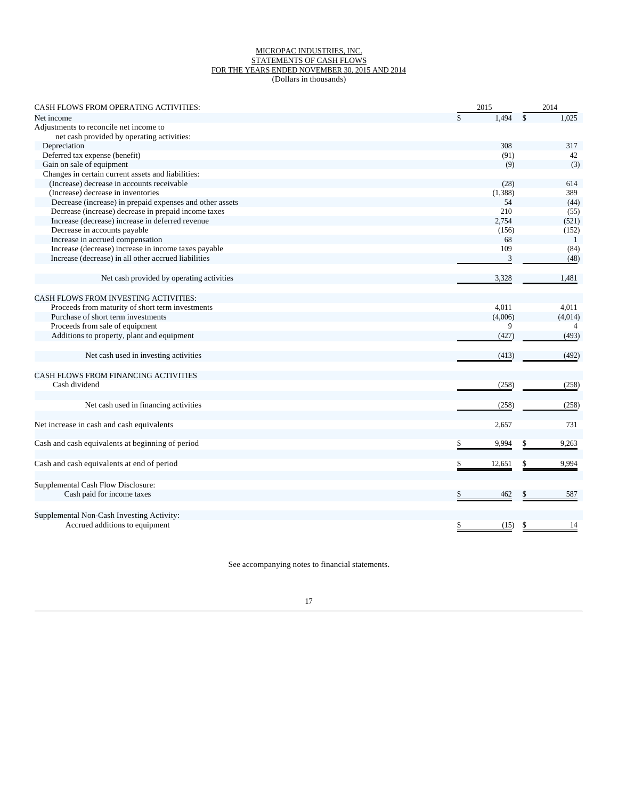### MICROPAC INDUSTRIES, INC. STATEMENTS OF CASH FLOWS FOR THE YEARS ENDED NOVEMBER 30, 2015 AND 2014 (Dollars in thousands)

| <b>CASH FLOWS FROM OPERATING ACTIVITIES:</b>             | 2015        | 2014        |
|----------------------------------------------------------|-------------|-------------|
| Net income                                               | 1.494       | 1,025       |
| Adjustments to reconcile net income to                   |             |             |
| net cash provided by operating activities:               |             |             |
| Depreciation                                             | 308         | 317         |
| Deferred tax expense (benefit)                           | (91)        | 42          |
| Gain on sale of equipment                                | (9)         | (3)         |
| Changes in certain current assets and liabilities:       |             |             |
| (Increase) decrease in accounts receivable               | (28)        | 614         |
| (Increase) decrease in inventories                       | (1,388)     | 389         |
| Decrease (increase) in prepaid expenses and other assets | 54          | (44)        |
| Decrease (increase) decrease in prepaid income taxes     | 210         | (55)        |
| Increase (decrease) increase in deferred revenue         | 2,754       | (521)       |
| Decrease in accounts payable                             | (156)       | (152)       |
| Increase in accrued compensation                         | 68          | -1          |
| Increase (decrease) increase in income taxes payable     | 109         | (84)        |
| Increase (decrease) in all other accrued liabilities     | 3           | (48)        |
| Net cash provided by operating activities                | 3,328       | 1.481       |
|                                                          |             |             |
| <b>CASH FLOWS FROM INVESTING ACTIVITIES:</b>             |             |             |
| Proceeds from maturity of short term investments         | 4,011       | 4,011       |
| Purchase of short term investments                       | (4,006)     | (4,014)     |
| Proceeds from sale of equipment                          | 9           |             |
| Additions to property, plant and equipment               | (427)       | (493)       |
| Net cash used in investing activities                    | (413)       | (492)       |
| CASH FLOWS FROM FINANCING ACTIVITIES                     |             |             |
| Cash dividend                                            | (258)       | (258)       |
|                                                          |             |             |
| Net cash used in financing activities                    | (258)       | (258)       |
|                                                          |             |             |
| Net increase in cash and cash equivalents                | 2,657       | 731         |
| Cash and cash equivalents at beginning of period         | \$<br>9,994 | \$<br>9,263 |
|                                                          |             |             |
| Cash and cash equivalents at end of period               | 12,651      | 9,994       |
| Supplemental Cash Flow Disclosure:                       |             |             |
| Cash paid for income taxes                               | 462         | 587         |
|                                                          |             |             |
| Supplemental Non-Cash Investing Activity:                |             |             |
| Accrued additions to equipment                           | \$<br>(15)  | 14<br>\$    |

See accompanying notes to financial statements.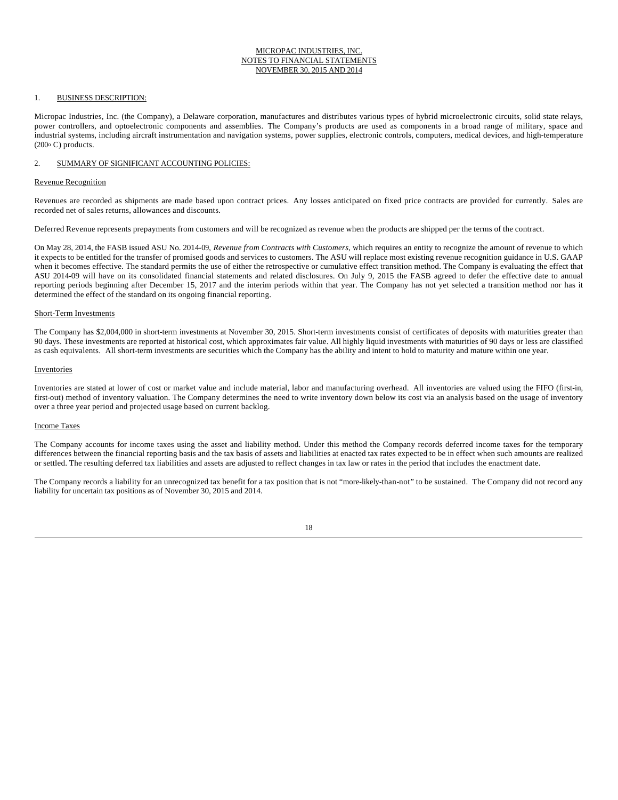### MICROPAC INDUSTRIES, INC. NOTES TO FINANCIAL STATEMENTS NOVEMBER 30, 2015 AND 2014

### 1. BUSINESS DESCRIPTION:

Micropac Industries, Inc. (the Company), a Delaware corporation, manufactures and distributes various types of hybrid microelectronic circuits, solid state relays, power controllers, and optoelectronic components and assemblies. The Company's products are used as components in a broad range of military, space and industrial systems, including aircraft instrumentation and navigation systems, power supplies, electronic controls, computers, medical devices, and high-temperature (200o C) products.

# 2. SUMMARY OF SIGNIFICANT ACCOUNTING POLICIES:

#### Revenue Recognition

Revenues are recorded as shipments are made based upon contract prices. Any losses anticipated on fixed price contracts are provided for currently. Sales are recorded net of sales returns, allowances and discounts.

Deferred Revenue represents prepayments from customers and will be recognized as revenue when the products are shipped per the terms of the contract.

On May 28, 2014, the FASB issued ASU No. 2014-09, *Revenue from Contracts with Customers*, which requires an entity to recognize the amount of revenue to which it expects to be entitled for the transfer of promised goods and services to customers. The ASU will replace most existing revenue recognition guidance in U.S. GAAP when it becomes effective. The standard permits the use of either the retrospective or cumulative effect transition method. The Company is evaluating the effect that ASU 2014-09 will have on its consolidated financial statements and related disclosures. On July 9, 2015 the FASB agreed to defer the effective date to annual reporting periods beginning after December 15, 2017 and the interim periods within that year. The Company has not yet selected a transition method nor has it determined the effect of the standard on its ongoing financial reporting.

### Short-Term Investments

The Company has \$2,004,000 in short-term investments at November 30, 2015. Short-term investments consist of certificates of deposits with maturities greater than 90 days. These investments are reported at historical cost, which approximates fair value. All highly liquid investments with maturities of 90 days or less are classified as cash equivalents. All short-term investments are securities which the Company has the ability and intent to hold to maturity and mature within one year.

#### Inventories

Inventories are stated at lower of cost or market value and include material, labor and manufacturing overhead. All inventories are valued using the FIFO (first-in, first-out) method of inventory valuation. The Company determines the need to write inventory down below its cost via an analysis based on the usage of inventory over a three year period and projected usage based on current backlog.

#### Income Taxes

The Company accounts for income taxes using the asset and liability method. Under this method the Company records deferred income taxes for the temporary differences between the financial reporting basis and the tax basis of assets and liabilities at enacted tax rates expected to be in effect when such amounts are realized or settled. The resulting deferred tax liabilities and assets are adjusted to reflect changes in tax law or rates in the period that includes the enactment date.

The Company records a liability for an unrecognized tax benefit for a tax position that is not "more-likely-than-not" to be sustained. The Company did not record any liability for uncertain tax positions as of November 30, 2015 and 2014.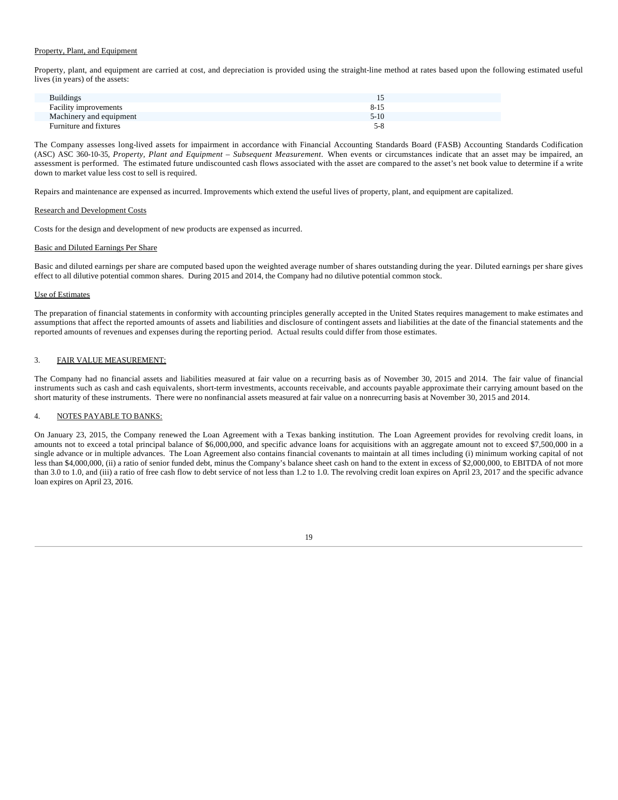# Property, Plant, and Equipment

Property, plant, and equipment are carried at cost, and depreciation is provided using the straight-line method at rates based upon the following estimated useful lives (in years) of the assets:

| <b>Buildings</b>             |          |
|------------------------------|----------|
| <b>Facility improvements</b> | $8 - 15$ |
| Machinery and equipment      | $5-10$   |
| Furniture and fixtures       | 5-8      |

The Company assesses long-lived assets for impairment in accordance with Financial Accounting Standards Board (FASB) Accounting Standards Codification (ASC) ASC 360-10-35, *Property, Plant and Equipment – Subsequent Measurement*. When events or circumstances indicate that an asset may be impaired, an assessment is performed. The estimated future undiscounted cash flows associated with the asset are compared to the asset's net book value to determine if a write down to market value less cost to sell is required.

Repairs and maintenance are expensed as incurred. Improvements which extend the useful lives of property, plant, and equipment are capitalized.

### Research and Development Costs

Costs for the design and development of new products are expensed as incurred.

### Basic and Diluted Earnings Per Share

Basic and diluted earnings per share are computed based upon the weighted average number of shares outstanding during the year. Diluted earnings per share gives effect to all dilutive potential common shares. During 2015 and 2014, the Company had no dilutive potential common stock.

### Use of Estimates

The preparation of financial statements in conformity with accounting principles generally accepted in the United States requires management to make estimates and assumptions that affect the reported amounts of assets and liabilities and disclosure of contingent assets and liabilities at the date of the financial statements and the reported amounts of revenues and expenses during the reporting period. Actual results could differ from those estimates.

### 3. FAIR VALUE MEASUREMENT:

The Company had no financial assets and liabilities measured at fair value on a recurring basis as of November 30, 2015 and 2014. The fair value of financial instruments such as cash and cash equivalents, short-term investments, accounts receivable, and accounts payable approximate their carrying amount based on the short maturity of these instruments. There were no nonfinancial assets measured at fair value on a nonrecurring basis at November 30, 2015 and 2014.

### 4. NOTES PAYABLE TO BANKS:

On January 23, 2015, the Company renewed the Loan Agreement with a Texas banking institution. The Loan Agreement provides for revolving credit loans, in amounts not to exceed a total principal balance of \$6,000,000, and specific advance loans for acquisitions with an aggregate amount not to exceed \$7,500,000 in a single advance or in multiple advances. The Loan Agreement also contains financial covenants to maintain at all times including (i) minimum working capital of not less than \$4,000,000, (ii) a ratio of senior funded debt, minus the Company's balance sheet cash on hand to the extent in excess of \$2,000,000, to EBITDA of not more than 3.0 to 1.0, and (iii) a ratio of free cash flow to debt service of not less than 1.2 to 1.0. The revolving credit loan expires on April 23, 2017 and the specific advance loan expires on April 23, 2016.

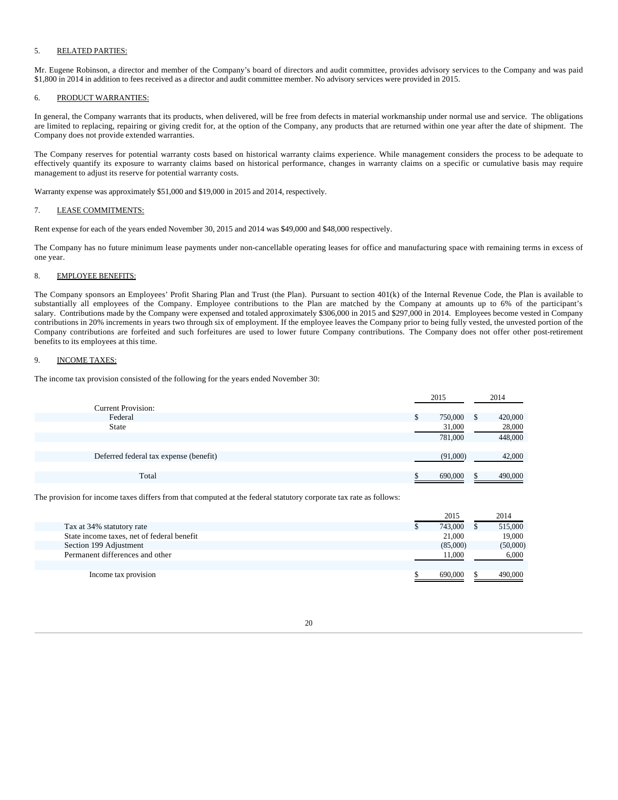# 5. RELATED PARTIES:

Mr. Eugene Robinson, a director and member of the Company's board of directors and audit committee, provides advisory services to the Company and was paid \$1,800 in 2014 in addition to fees received as a director and audit committee member. No advisory services were provided in 2015.

# 6. PRODUCT WARRANTIES:

In general, the Company warrants that its products, when delivered, will be free from defects in material workmanship under normal use and service. The obligations are limited to replacing, repairing or giving credit for, at the option of the Company, any products that are returned within one year after the date of shipment. The Company does not provide extended warranties.

The Company reserves for potential warranty costs based on historical warranty claims experience. While management considers the process to be adequate to effectively quantify its exposure to warranty claims based on historical performance, changes in warranty claims on a specific or cumulative basis may require management to adjust its reserve for potential warranty costs.

Warranty expense was approximately \$51,000 and \$19,000 in 2015 and 2014, respectively.

### 7. LEASE COMMITMENTS:

Rent expense for each of the years ended November 30, 2015 and 2014 was \$49,000 and \$48,000 respectively.

The Company has no future minimum lease payments under non-cancellable operating leases for office and manufacturing space with remaining terms in excess of one year.

# 8. EMPLOYEE BENEFITS:

The Company sponsors an Employees' Profit Sharing Plan and Trust (the Plan). Pursuant to section 401(k) of the Internal Revenue Code, the Plan is available to substantially all employees of the Company. Employee contributions to the Plan are matched by the Company at amounts up to 6% of the participant's salary. Contributions made by the Company were expensed and totaled approximately \$306,000 in 2015 and \$297,000 in 2014. Employees become vested in Company contributions in 20% increments in years two through six of employment. If the employee leaves the Company prior to being fully vested, the unvested portion of the Company contributions are forfeited and such forfeitures are used to lower future Company contributions. The Company does not offer other post-retirement benefits to its employees at this time.

# 9. INCOME TAXES:

The income tax provision consisted of the following for the years ended November 30:

|                                        |   | 2015     | 2014          |
|----------------------------------------|---|----------|---------------|
| <b>Current Provision:</b>              |   |          |               |
| Federal                                | D | 750,000  | \$<br>420,000 |
| State                                  |   | 31,000   | 28,000        |
|                                        |   | 781,000  | 448,000       |
|                                        |   |          |               |
| Deferred federal tax expense (benefit) |   | (91,000) | 42,000        |
|                                        |   |          |               |
| Total                                  |   | 690,000  | 490,000       |
|                                        |   |          |               |

The provision for income taxes differs from that computed at the federal statutory corporate tax rate as follows:

|                                            | 2015     | 2014     |
|--------------------------------------------|----------|----------|
| Tax at 34% statutory rate                  | 743,000  | 515,000  |
| State income taxes, net of federal benefit | 21,000   | 19,000   |
| Section 199 Adjustment                     | (85,000) | (50,000) |
| Permanent differences and other            | 11.000   | 6,000    |
|                                            |          |          |
| Income tax provision                       | 690,000  | 490,000  |
|                                            |          |          |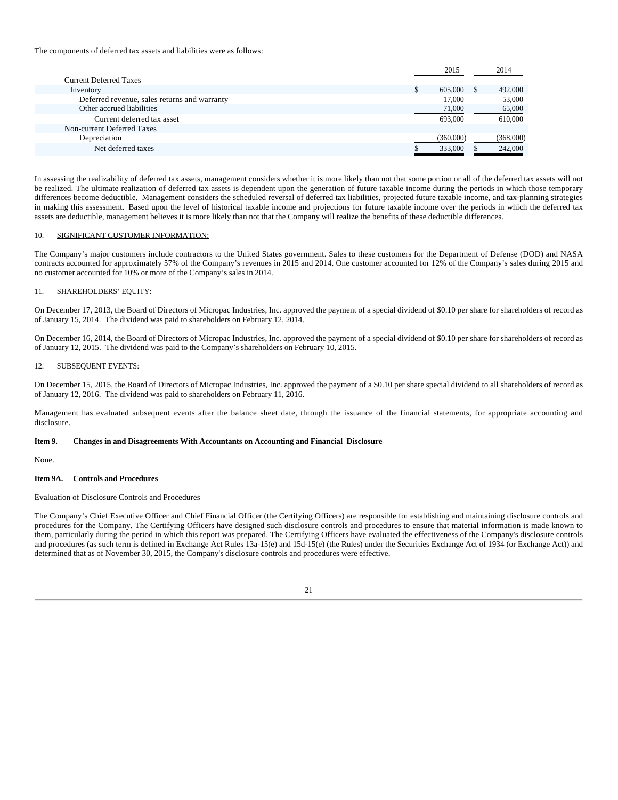The components of deferred tax assets and liabilities were as follows:

|                                              |   | 2015      | 2014      |
|----------------------------------------------|---|-----------|-----------|
| <b>Current Deferred Taxes</b>                |   |           |           |
| Inventory                                    | D | 605,000   | 492,000   |
| Deferred revenue, sales returns and warranty |   | 17,000    | 53,000    |
| Other accrued liabilities                    |   | 71,000    | 65,000    |
| Current deferred tax asset                   |   | 693,000   | 610,000   |
| Non-current Deferred Taxes                   |   |           |           |
| Depreciation                                 |   | (360,000) | (368,000) |
| Net deferred taxes                           |   | 333,000   | 242,000   |
|                                              |   |           |           |

In assessing the realizability of deferred tax assets, management considers whether it is more likely than not that some portion or all of the deferred tax assets will not be realized. The ultimate realization of deferred tax assets is dependent upon the generation of future taxable income during the periods in which those temporary differences become deductible. Management considers the scheduled reversal of deferred tax liabilities, projected future taxable income, and tax-planning strategies in making this assessment. Based upon the level of historical taxable income and projections for future taxable income over the periods in which the deferred tax assets are deductible, management believes it is more likely than not that the Company will realize the benefits of these deductible differences.

### 10. SIGNIFICANT CUSTOMER INFORMATION:

The Company's major customers include contractors to the United States government. Sales to these customers for the Department of Defense (DOD) and NASA contracts accounted for approximately 57% of the Company's revenues in 2015 and 2014. One customer accounted for 12% of the Company's sales during 2015 and no customer accounted for 10% or more of the Company's sales in 2014.

### 11. SHAREHOLDERS' EQUITY:

On December 17, 2013, the Board of Directors of Micropac Industries, Inc. approved the payment of a special dividend of \$0.10 per share for shareholders of record as of January 15, 2014. The dividend was paid to shareholders on February 12, 2014.

On December 16, 2014, the Board of Directors of Micropac Industries, Inc. approved the payment of a special dividend of \$0.10 per share for shareholders of record as of January 12, 2015. The dividend was paid to the Company's shareholders on February 10, 2015.

### 12. SUBSEQUENT EVENTS:

On December 15, 2015, the Board of Directors of Micropac Industries, Inc. approved the payment of a \$0.10 per share special dividend to all shareholders of record as of January 12, 2016. The dividend was paid to shareholders on February 11, 2016.

Management has evaluated subsequent events after the balance sheet date, through the issuance of the financial statements, for appropriate accounting and disclosure.

#### **Item 9. Changes in and Disagreements With Accountants on Accounting and Financial Disclosure**

None.

# **Item 9A. Controls and Procedures**

### Evaluation of Disclosure Controls and Procedures

The Company's Chief Executive Officer and Chief Financial Officer (the Certifying Officers) are responsible for establishing and maintaining disclosure controls and procedures for the Company. The Certifying Officers have designed such disclosure controls and procedures to ensure that material information is made known to them, particularly during the period in which this report was prepared. The Certifying Officers have evaluated the effectiveness of the Company's disclosure controls and procedures (as such term is defined in Exchange Act Rules 13a-15(e) and 15d-15(e) (the Rules) under the Securities Exchange Act of 1934 (or Exchange Act)) and determined that as of November 30, 2015, the Company's disclosure controls and procedures were effective.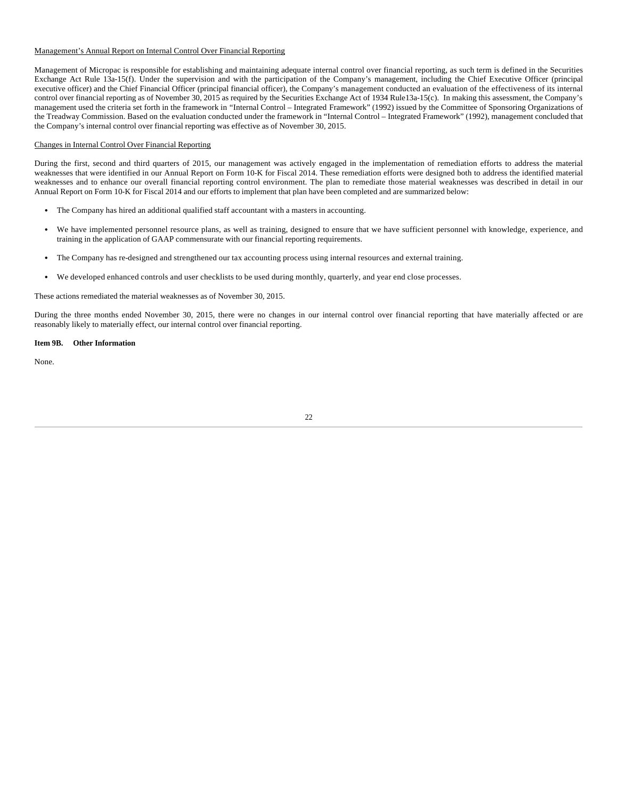# Management's Annual Report on Internal Control Over Financial Reporting

Management of Micropac is responsible for establishing and maintaining adequate internal control over financial reporting, as such term is defined in the Securities Exchange Act Rule 13a-15(f). Under the supervision and with the participation of the Company's management, including the Chief Executive Officer (principal executive officer) and the Chief Financial Officer (principal financial officer), the Company's management conducted an evaluation of the effectiveness of its internal control over financial reporting as of November 30, 2015 as required by the Securities Exchange Act of 1934 Rule13a-15(c). In making this assessment, the Company's management used the criteria set forth in the framework in "Internal Control – Integrated Framework" (1992) issued by the Committee of Sponsoring Organizations of the Treadway Commission. Based on the evaluation conducted under the framework in "Internal Control – Integrated Framework" (1992), management concluded that the Company's internal control over financial reporting was effective as of November 30, 2015.

# Changes in Internal Control Over Financial Reporting

During the first, second and third quarters of 2015, our management was actively engaged in the implementation of remediation efforts to address the material weaknesses that were identified in our Annual Report on Form 10-K for Fiscal 2014. These remediation efforts were designed both to address the identified material weaknesses and to enhance our overall financial reporting control environment. The plan to remediate those material weaknesses was described in detail in our Annual Report on Form 10-K for Fiscal 2014 and our efforts to implement that plan have been completed and are summarized below:

- The Company has hired an additional qualified staff accountant with a masters in accounting.
- We have implemented personnel resource plans, as well as training, designed to ensure that we have sufficient personnel with knowledge, experience, and training in the application of GAAP commensurate with our financial reporting requirements.
- The Company has re-designed and strengthened our tax accounting process using internal resources and external training.
- We developed enhanced controls and user checklists to be used during monthly, quarterly, and year end close processes.

These actions remediated the material weaknesses as of November 30, 2015.

During the three months ended November 30, 2015, there were no changes in our internal control over financial reporting that have materially affected or are reasonably likely to materially effect, our internal control over financial reporting.

### **Item 9B. Other Information**

None.

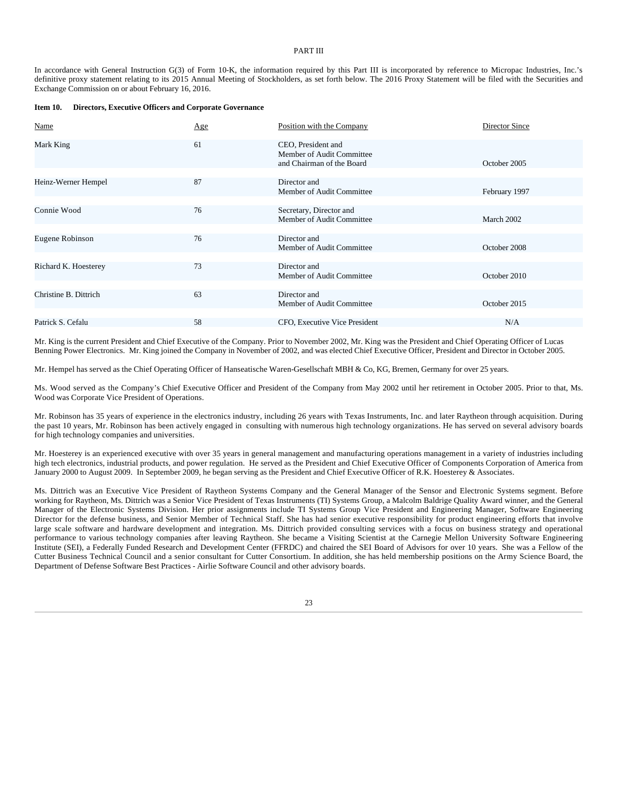# PART III

In accordance with General Instruction G(3) of Form 10-K, the information required by this Part III is incorporated by reference to Micropac Industries, Inc.'s definitive proxy statement relating to its 2015 Annual Meeting of Stockholders, as set forth below. The 2016 Proxy Statement will be filed with the Securities and Exchange Commission on or about February 16, 2016.

#### **Item 10. Directors, Executive Officers and Corporate Governance**

| Name                  | Age | Position with the Company                                                    | Director Since |
|-----------------------|-----|------------------------------------------------------------------------------|----------------|
| Mark King             | 61  | CEO, President and<br>Member of Audit Committee<br>and Chairman of the Board | October 2005   |
|                       |     |                                                                              |                |
| Heinz-Werner Hempel   | 87  | Director and<br>Member of Audit Committee                                    | February 1997  |
|                       |     |                                                                              |                |
| Connie Wood           | 76  | Secretary, Director and<br>Member of Audit Committee                         | March 2002     |
|                       |     |                                                                              |                |
| Eugene Robinson       | 76  | Director and<br>Member of Audit Committee                                    | October 2008   |
|                       |     |                                                                              |                |
| Richard K. Hoesterey  | 73  | Director and<br>Member of Audit Committee                                    | October 2010   |
|                       |     |                                                                              |                |
| Christine B. Dittrich | 63  | Director and<br>Member of Audit Committee                                    | October 2015   |
|                       |     |                                                                              |                |
| Patrick S. Cefalu     | 58  | CFO, Executive Vice President                                                | N/A            |

Mr. King is the current President and Chief Executive of the Company. Prior to November 2002, Mr. King was the President and Chief Operating Officer of Lucas Benning Power Electronics. Mr. King joined the Company in November of 2002, and was elected Chief Executive Officer, President and Director in October 2005.

Mr. Hempel has served as the Chief Operating Officer of Hanseatische Waren-Gesellschaft MBH & Co, KG, Bremen, Germany for over 25 years.

Ms. Wood served as the Company's Chief Executive Officer and President of the Company from May 2002 until her retirement in October 2005. Prior to that, Ms. Wood was Corporate Vice President of Operations.

Mr. Robinson has 35 years of experience in the electronics industry, including 26 years with Texas Instruments, Inc. and later Raytheon through acquisition. During the past 10 years, Mr. Robinson has been actively engaged in consulting with numerous high technology organizations. He has served on several advisory boards for high technology companies and universities.

Mr. Hoesterey is an experienced executive with over 35 years in general management and manufacturing operations management in a variety of industries including high tech electronics, industrial products, and power regulation. He served as the President and Chief Executive Officer of Components Corporation of America from January 2000 to August 2009. In September 2009, he began serving as the President and Chief Executive Officer of R.K. Hoesterey & Associates.

Ms. Dittrich was an Executive Vice President of Raytheon Systems Company and the General Manager of the Sensor and Electronic Systems segment. Before working for Raytheon, Ms. Dittrich was a Senior Vice President of Texas Instruments (TI) Systems Group, a Malcolm Baldrige Quality Award winner, and the General Manager of the Electronic Systems Division. Her prior assignments include TI Systems Group Vice President and Engineering Manager, Software Engineering Director for the defense business, and Senior Member of Technical Staff. She has had senior executive responsibility for product engineering efforts that involve large scale software and hardware development and integration. Ms. Dittrich provided consulting services with a focus on business strategy and operational performance to various technology companies after leaving Raytheon. She became a Visiting Scientist at the Carnegie Mellon University Software Engineering Institute (SEI), a Federally Funded Research and Development Center (FFRDC) and chaired the SEI Board of Advisors for over 10 years. She was a Fellow of the Cutter Business Technical Council and a senior consultant for Cutter Consortium. In addition, she has held membership positions on the Army Science Board, the Department of Defense Software Best Practices - Airlie Software Council and other advisory boards.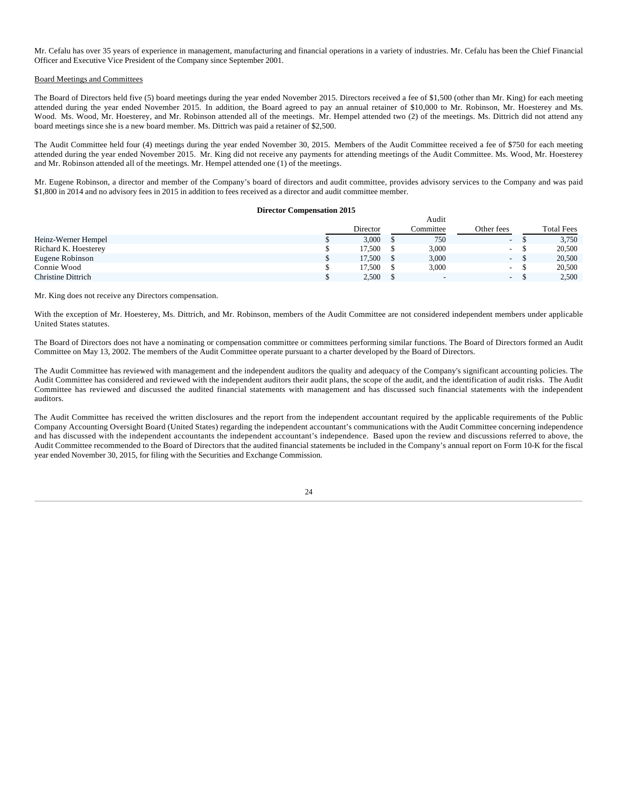Mr. Cefalu has over 35 years of experience in management, manufacturing and financial operations in a variety of industries. Mr. Cefalu has been the Chief Financial Officer and Executive Vice President of the Company since September 2001.

#### Board Meetings and Committees

The Board of Directors held five (5) board meetings during the year ended November 2015. Directors received a fee of \$1,500 (other than Mr. King) for each meeting attended during the year ended November 2015. In addition, the Board agreed to pay an annual retainer of \$10,000 to Mr. Robinson, Mr. Hoesterey and Ms. Wood. Ms. Wood, Mr. Hoesterey, and Mr. Robinson attended all of the meetings. Mr. Hempel attended two (2) of the meetings. Ms. Dittrich did not attend any board meetings since she is a new board member. Ms. Dittrich was paid a retainer of \$2,500.

The Audit Committee held four (4) meetings during the year ended November 30, 2015. Members of the Audit Committee received a fee of \$750 for each meeting attended during the year ended November 2015. Mr. King did not receive any payments for attending meetings of the Audit Committee. Ms. Wood, Mr. Hoesterey and Mr. Robinson attended all of the meetings. Mr. Hempel attended one (1) of the meetings.

Mr. Eugene Robinson, a director and member of the Company's board of directors and audit committee, provides advisory services to the Company and was paid \$1,800 in 2014 and no advisory fees in 2015 in addition to fees received as a director and audit committee member.

### **Director Compensation 2015**

 $A = 114$ 

|                      |          | Augh                     |                          |                   |
|----------------------|----------|--------------------------|--------------------------|-------------------|
|                      | Director | Committee                | Other fees               | <b>Total Fees</b> |
| Heinz-Werner Hempel  | 3.000    | 750                      | $\sim$                   | 3,750             |
| Richard K. Hoesterey | 17.500   | 3,000                    | $\sim$                   | 20,500            |
| Eugene Robinson      | 17.500   | 3,000                    | $\sim$                   | 20,500            |
| Connie Wood          | 17.500   | 3,000                    | $\overline{\phantom{a}}$ | 20,500            |
| Christine Dittrich   | 2,500    | $\overline{\phantom{0}}$ | $\sim$                   | 2,500             |

Mr. King does not receive any Directors compensation.

With the exception of Mr. Hoesterey, Ms. Dittrich, and Mr. Robinson, members of the Audit Committee are not considered independent members under applicable United States statutes.

The Board of Directors does not have a nominating or compensation committee or committees performing similar functions. The Board of Directors formed an Audit Committee on May 13, 2002. The members of the Audit Committee operate pursuant to a charter developed by the Board of Directors.

The Audit Committee has reviewed with management and the independent auditors the quality and adequacy of the Company's significant accounting policies. The Audit Committee has considered and reviewed with the independent auditors their audit plans, the scope of the audit, and the identification of audit risks. The Audit Committee has reviewed and discussed the audited financial statements with management and has discussed such financial statements with the independent auditors.

The Audit Committee has received the written disclosures and the report from the independent accountant required by the applicable requirements of the Public Company Accounting Oversight Board (United States) regarding the independent accountant's communications with the Audit Committee concerning independence and has discussed with the independent accountants the independent accountant's independence. Based upon the review and discussions referred to above, the Audit Committee recommended to the Board of Directors that the audited financial statements be included in the Company's annual report on Form 10-K for the fiscal year ended November 30, 2015, for filing with the Securities and Exchange Commission.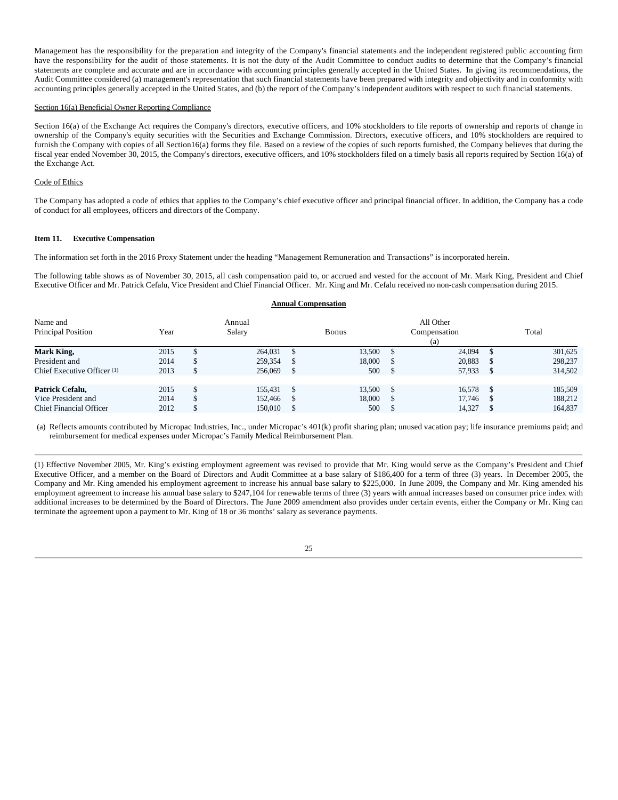Management has the responsibility for the preparation and integrity of the Company's financial statements and the independent registered public accounting firm have the responsibility for the audit of those statements. It is not the duty of the Audit Committee to conduct audits to determine that the Company's financial statements are complete and accurate and are in accordance with accounting principles generally accepted in the United States. In giving its recommendations, the Audit Committee considered (a) management's representation that such financial statements have been prepared with integrity and objectivity and in conformity with accounting principles generally accepted in the United States, and (b) the report of the Company's independent auditors with respect to such financial statements.

### Section 16(a) Beneficial Owner Reporting Compliance

Section 16(a) of the Exchange Act requires the Company's directors, executive officers, and 10% stockholders to file reports of ownership and reports of change in ownership of the Company's equity securities with the Securities and Exchange Commission. Directors, executive officers, and 10% stockholders are required to furnish the Company with copies of all Section16(a) forms they file. Based on a review of the copies of such reports furnished, the Company believes that during the fiscal year ended November 30, 2015, the Company's directors, executive officers, and 10% stockholders filed on a timely basis all reports required by Section 16(a) of the Exchange Act.

### Code of Ethics

The Company has adopted a code of ethics that applies to the Company's chief executive officer and principal financial officer. In addition, the Company has a code of conduct for all employees, officers and directors of the Company.

### **Item 11. Executive Compensation**

The information set forth in the 2016 Proxy Statement under the heading "Management Remuneration and Transactions" is incorporated herein.

The following table shows as of November 30, 2015, all cash compensation paid to, or accrued and vested for the account of Mr. Mark King, President and Chief Executive Officer and Mr. Patrick Cefalu, Vice President and Chief Financial Officer. Mr. King and Mr. Cefalu received no non-cash compensation during 2015.

# **Annual Compensation**

| Name and<br>Principal Position                                          | Year                 | Annual<br>Salary              | <b>Bonus</b>            | All Other<br>Compensation<br>(a) | Total                         |
|-------------------------------------------------------------------------|----------------------|-------------------------------|-------------------------|----------------------------------|-------------------------------|
| Mark King,<br>President and                                             | 2015<br>2014         | 264,031<br>259,354            | 13.500<br>18,000        | 24.094<br>20.883                 | 301,625<br>298,237            |
| Chief Executive Officer <sup>(1)</sup>                                  | 2013                 | 256,069                       | 500                     | 57,933                           | 314,502                       |
| Patrick Cefalu,<br>Vice President and<br><b>Chief Financial Officer</b> | 2015<br>2014<br>2012 | 155.431<br>152.466<br>150,010 | 13.500<br>18,000<br>500 | 16.578<br>17.746<br>14,327       | 185,509<br>188,212<br>164,837 |

(a) Reflects amounts contributed by Micropac Industries, Inc., under Micropac's 401(k) profit sharing plan; unused vacation pay; life insurance premiums paid; and reimbursement for medical expenses under Micropac's Family Medical Reimbursement Plan.

(1) Effective November 2005, Mr. King's existing employment agreement was revised to provide that Mr. King would serve as the Company's President and Chief Executive Officer, and a member on the Board of Directors and Audit Committee at a base salary of \$186,400 for a term of three (3) years. In December 2005, the Company and Mr. King amended his employment agreement to increase his annual base salary to \$225,000. In June 2009, the Company and Mr. King amended his employment agreement to increase his annual base salary to \$247,104 for renewable terms of three (3) years with annual increases based on consumer price index with additional increases to be determined by the Board of Directors. The June 2009 amendment also provides under certain events, either the Company or Mr. King can terminate the agreement upon a payment to Mr. King of 18 or 36 months' salary as severance payments.

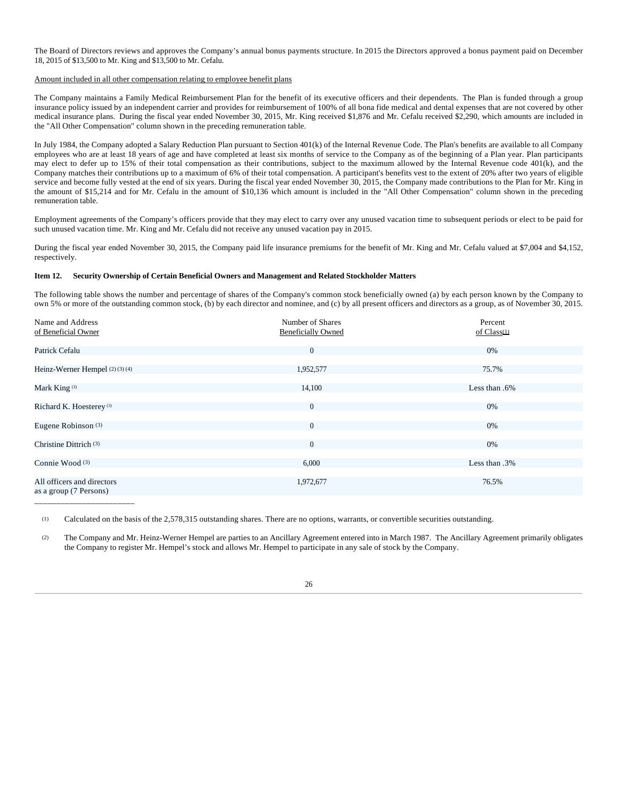The Board of Directors reviews and approves the Company's annual bonus payments structure. In 2015 the Directors approved a bonus payment paid on December 18, 2015 of \$13,500 to Mr. King and \$13,500 to Mr. Cefalu.

### Amount included in all other compensation relating to employee benefit plans

The Company maintains a Family Medical Reimbursement Plan for the benefit of its executive officers and their dependents. The Plan is funded through a group insurance policy issued by an independent carrier and provides for reimbursement of 100% of all bona fide medical and dental expenses that are not covered by other medical insurance plans. During the fiscal year ended November 30, 2015, Mr. King received \$1,876 and Mr. Cefalu received \$2,290, which amounts are included in the "All Other Compensation" column shown in the preceding remuneration table.

In July 1984, the Company adopted a Salary Reduction Plan pursuant to Section 401(k) of the Internal Revenue Code. The Plan's benefits are available to all Company employees who are at least 18 years of age and have completed at least six months of service to the Company as of the beginning of a Plan year. Plan participants may elect to defer up to 15% of their total compensation as their contributions, subject to the maximum allowed by the Internal Revenue code 401(k), and the Company matches their contributions up to a maximum of 6% of their total compensation. A participant's benefits vest to the extent of 20% after two years of eligible service and become fully vested at the end of six years. During the fiscal year ended November 30, 2015, the Company made contributions to the Plan for Mr. King in the amount of \$15,214 and for Mr. Cefalu in the amount of \$10,136 which amount is included in the "All Other Compensation" column shown in the preceding remuneration table.

Employment agreements of the Company's officers provide that they may elect to carry over any unused vacation time to subsequent periods or elect to be paid for such unused vacation time. Mr. King and Mr. Cefalu did not receive any unused vacation pay in 2015.

During the fiscal year ended November 30, 2015, the Company paid life insurance premiums for the benefit of Mr. King and Mr. Cefalu valued at \$7,004 and \$4,152, respectively.

# **Item 12. Security Ownership of Certain Beneficial Owners and Management and Related Stockholder Matters**

The following table shows the number and percentage of shares of the Company's common stock beneficially owned (a) by each person known by the Company to own 5% or more of the outstanding common stock, (b) by each director and nominee, and (c) by all present officers and directors as a group, as of November 30, 2015.

| Name and Address<br>of Beneficial Owner              | Number of Shares<br><b>Beneficially Owned</b> | Percent<br>of $Class(1)$ |
|------------------------------------------------------|-----------------------------------------------|--------------------------|
| Patrick Cefalu                                       | $\overline{0}$                                | $0\%$                    |
| Heinz-Werner Hempel (2)(3)(4)                        | 1,952,577                                     | 75.7%                    |
| Mark King <sup>(3)</sup>                             | 14,100                                        | Less than .6%            |
| Richard K. Hoesterey <sup>(3)</sup>                  | $\overline{0}$                                | 0%                       |
| Eugene Robinson <sup>(3)</sup>                       | $\overline{0}$                                | 0%                       |
| Christine Dittrich (3)                               | $\overline{0}$                                | 0%                       |
| Connie Wood (3)                                      | 6,000                                         | Less than .3%            |
| All officers and directors<br>as a group (7 Persons) | 1,972,677                                     | 76.5%                    |

\_\_\_\_\_\_\_\_\_\_\_\_\_\_\_\_\_\_\_\_\_\_\_

(1) Calculated on the basis of the 2,578,315 outstanding shares. There are no options, warrants, or convertible securities outstanding.

(2) The Company and Mr. Heinz-Werner Hempel are parties to an Ancillary Agreement entered into in March 1987. The Ancillary Agreement primarily obligates the Company to register Mr. Hempel's stock and allows Mr. Hempel to participate in any sale of stock by the Company.

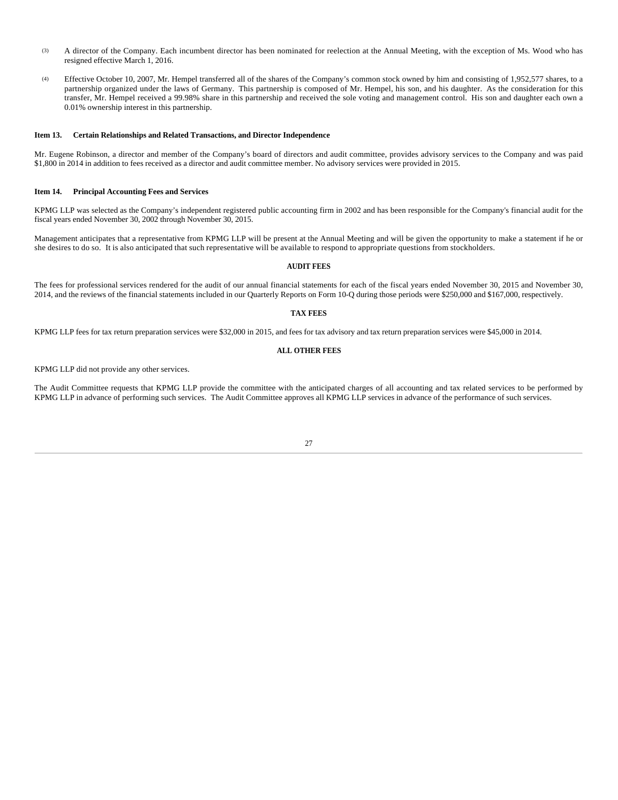- (3) A director of the Company. Each incumbent director has been nominated for reelection at the Annual Meeting, with the exception of Ms. Wood who has resigned effective March 1, 2016.
- (4) Effective October 10, 2007, Mr. Hempel transferred all of the shares of the Company's common stock owned by him and consisting of 1,952,577 shares, to a partnership organized under the laws of Germany. This partnership is composed of Mr. Hempel, his son, and his daughter. As the consideration for this transfer, Mr. Hempel received a 99.98% share in this partnership and received the sole voting and management control. His son and daughter each own a 0.01% ownership interest in this partnership.

### **Item 13. Certain Relationships and Related Transactions, and Director Independence**

Mr. Eugene Robinson, a director and member of the Company's board of directors and audit committee, provides advisory services to the Company and was paid \$1,800 in 2014 in addition to fees received as a director and audit committee member. No advisory services were provided in 2015.

### **Item 14. Principal Accounting Fees and Services**

KPMG LLP was selected as the Company's independent registered public accounting firm in 2002 and has been responsible for the Company's financial audit for the fiscal years ended November 30, 2002 through November 30, 2015.

Management anticipates that a representative from KPMG LLP will be present at the Annual Meeting and will be given the opportunity to make a statement if he or she desires to do so. It is also anticipated that such representative will be available to respond to appropriate questions from stockholders.

### **AUDIT FEES**

The fees for professional services rendered for the audit of our annual financial statements for each of the fiscal years ended November 30, 2015 and November 30, 2014, and the reviews of the financial statements included in our Quarterly Reports on Form 10-Q during those periods were \$250,000 and \$167,000, respectively.

# **TAX FEES**

KPMG LLP fees for tax return preparation services were \$32,000 in 2015, and fees for tax advisory and tax return preparation services were \$45,000 in 2014.

#### **ALL OTHER FEES**

KPMG LLP did not provide any other services.

The Audit Committee requests that KPMG LLP provide the committee with the anticipated charges of all accounting and tax related services to be performed by KPMG LLP in advance of performing such services. The Audit Committee approves all KPMG LLP services in advance of the performance of such services.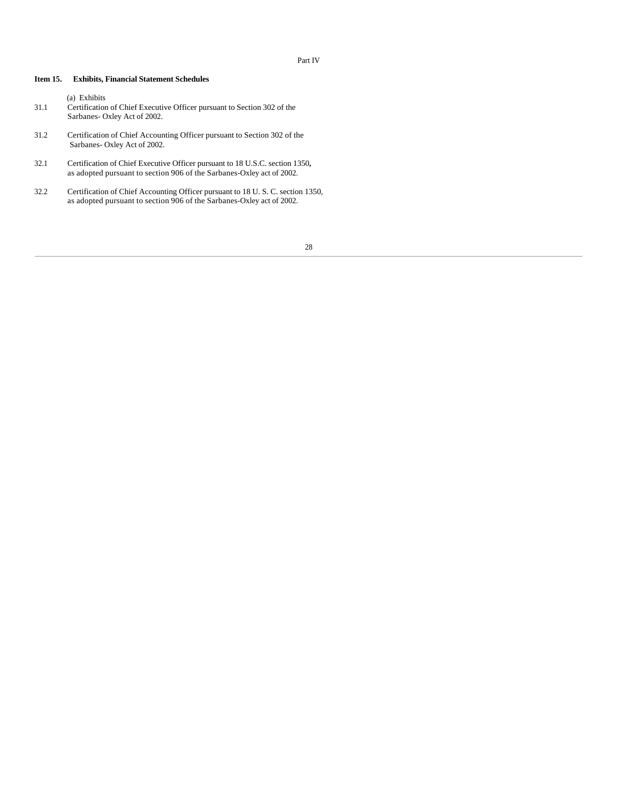# Part IV

# **Item 15. Exhibits, Financial Statement Schedules**

- (a) Exhibits 31.1 Certification of Chief Executive Officer pursuant to Section 302 of the Sarbanes- Oxley Act of 2002.
- 31.2 Certification of Chief Accounting Officer pursuant to Section 302 of the Sarbanes- Oxley Act of 2002.
- $32.1$ 32.1 Certification of Chief Executive Officer pursuant to 18 U.S.C. section 1350**,** as adopted pursuant to section 906 of the Sarbanes-Oxley act of 2002.
- $32.2$ 32.2 Certification of Chief Accounting Officer pursuant to 18 U. S. C. section 1350, as adopted pursuant to section 906 of the Sarbanes-Oxley act of 2002.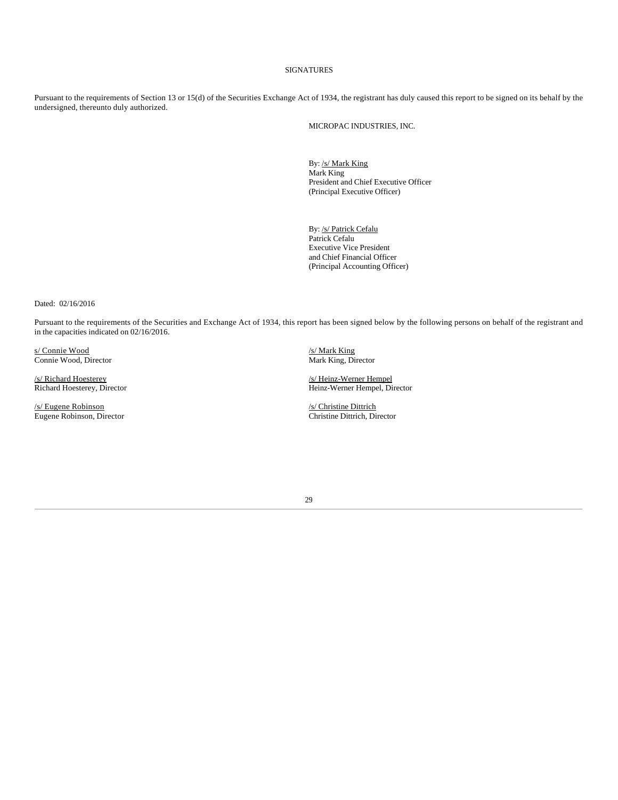# SIGNATURES

Pursuant to the requirements of Section 13 or 15(d) of the Securities Exchange Act of 1934, the registrant has duly caused this report to be signed on its behalf by the undersigned, thereunto duly authorized.

MICROPAC INDUSTRIES, INC.

By: /s/ Mark King Mark King President and Chief Executive Officer (Principal Executive Officer)

By: /s/ Patrick Cefalu Patrick Cefalu Executive Vice President and Chief Financial Officer (Principal Accounting Officer)

Dated: 02/16/2016

Pursuant to the requirements of the Securities and Exchange Act of 1934, this report has been signed below by the following persons on behalf of the registrant and in the capacities indicated on 02/16/2016.

s/ Connie Wood<br>
Connie Wood, Director<br>
Connie Wood, Director<br>
2008 - Mark King, Director<br>
2018 - Mark King, Director<br>
2018 - Mark King, Director Connie Wood, Director

/s/ Eugene Robinson /s/ Christine Dittrich Eugene Robinson, Director

/s/ Richard Hoesterey /s/ Heinz-Werner Hempel Richard Hoesterey, Director Heinz-Werner Hempel, Director